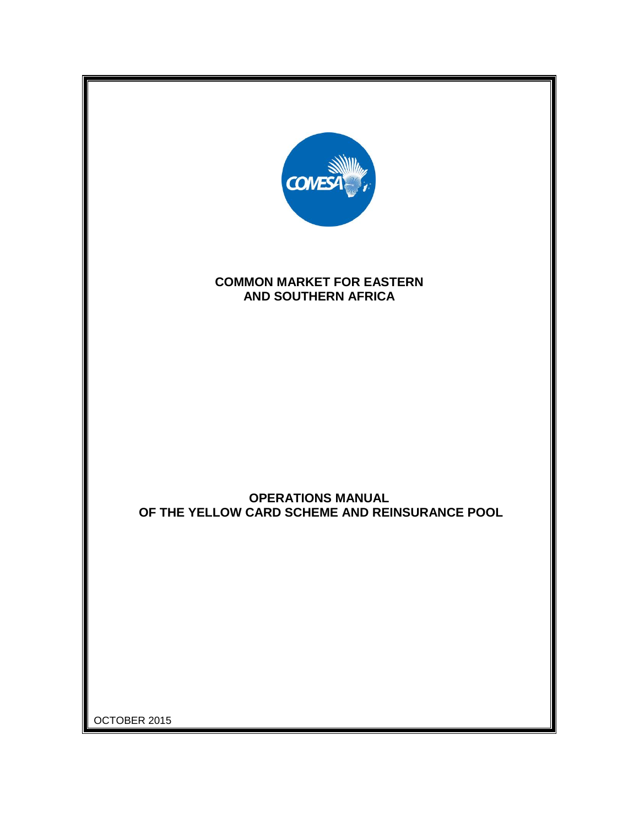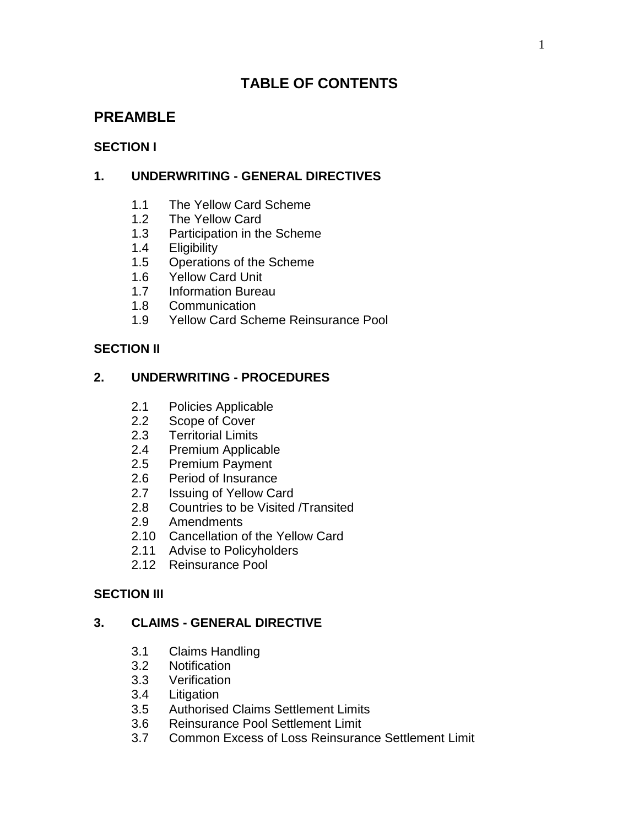# **TABLE OF CONTENTS**

# **PREAMBLE**

## **SECTION I**

## **1. UNDERWRITING - GENERAL DIRECTIVES**

- 1.1 The Yellow Card Scheme
- 1.2 The Yellow Card
- 1.3 Participation in the Scheme
- 1.4 Eligibility
- 1.5 Operations of the Scheme
- 1.6 Yellow Card Unit
- 1.7 Information Bureau
- 1.8 Communication
- 1.9 Yellow Card Scheme Reinsurance Pool

## **SECTION II**

## **2. UNDERWRITING - PROCEDURES**

- 2.1 Policies Applicable
- 2.2 Scope of Cover
- 2.3 Territorial Limits
- 2.4 Premium Applicable
- 2.5 Premium Payment
- 2.6 Period of Insurance
- 2.7 Issuing of Yellow Card
- 2.8 Countries to be Visited /Transited
- 2.9 Amendments
- 2.10 Cancellation of the Yellow Card
- 2.11 Advise to Policyholders
- 2.12 Reinsurance Pool

## **SECTION III**

## **3. CLAIMS - GENERAL DIRECTIVE**

- 3.1 Claims Handling
- 3.2 Notification
- 3.3 Verification
- 3.4 Litigation
- 3.5 Authorised Claims Settlement Limits
- 3.6 Reinsurance Pool Settlement Limit
- 3.7 Common Excess of Loss Reinsurance Settlement Limit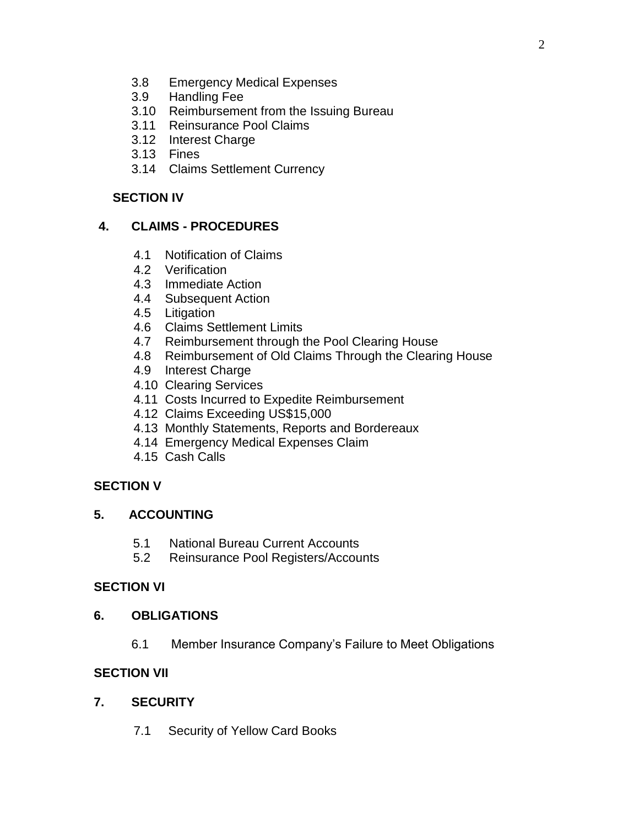- 3.8 Emergency Medical Expenses
- 3.9 Handling Fee
- 3.10 Reimbursement from the Issuing Bureau
- 3.11 Reinsurance Pool Claims
- 3.12 Interest Charge
- 3.13 Fines
- 3.14 Claims Settlement Currency

#### **SECTION IV**

## **4. CLAIMS - PROCEDURES**

- 4.1 Notification of Claims
- 4.2 Verification
- 4.3 Immediate Action
- 4.4 Subsequent Action
- 4.5 Litigation
- 4.6 Claims Settlement Limits
- 4.7 Reimbursement through the Pool Clearing House
- 4.8 Reimbursement of Old Claims Through the Clearing House
- 4.9 Interest Charge
- 4.10 Clearing Services
- 4.11 Costs Incurred to Expedite Reimbursement
- 4.12 Claims Exceeding US\$15,000
- 4.13 Monthly Statements, Reports and Bordereaux
- 4.14 Emergency Medical Expenses Claim
- 4.15 Cash Calls

## **SECTION V**

## **5. ACCOUNTING**

- 5.1 National Bureau Current Accounts
- 5.2 Reinsurance Pool Registers/Accounts

## **SECTION VI**

#### **6. OBLIGATIONS**

6.1 Member Insurance Company's Failure to Meet Obligations

## **SECTION VII**

## **7. SECURITY**

7.1 Security of Yellow Card Books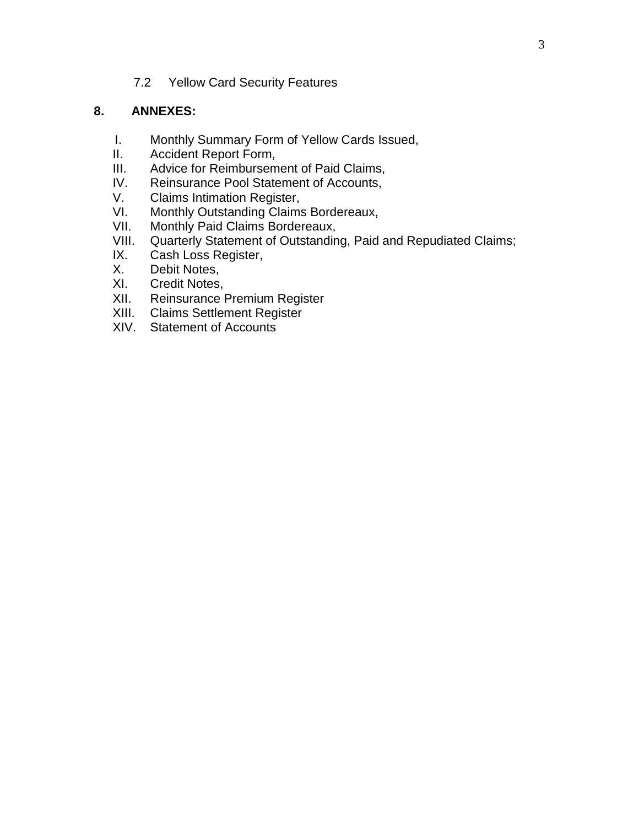7.2 Yellow Card Security Features

#### **8. ANNEXES:**

- I. Monthly Summary Form of Yellow Cards Issued,
- II. Accident Report Form,<br>III. Advice for Reimbursem
- Advice for Reimbursement of Paid Claims,
- IV. Reinsurance Pool Statement of Accounts,<br>V. Claims Intimation Register.
- Claims Intimation Register,
- VI. Monthly Outstanding Claims Bordereaux,<br>VII. Monthly Paid Claims Bordereaux.
- Monthly Paid Claims Bordereaux,
- VIII. Quarterly Statement of Outstanding, Paid and Repudiated Claims;<br>IX. Cash Loss Register.
- IX. Cash Loss Register,<br>X. Debit Notes.
- Debit Notes,
- XI. Credit Notes,
- XII. Reinsurance Premium Register
- XIII. Claims Settlement Register
- XIV. Statement of Accounts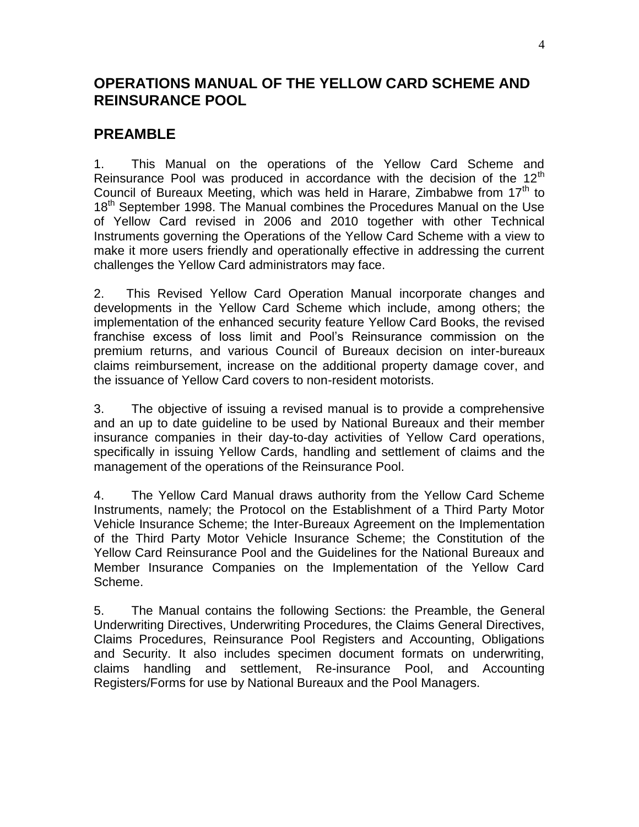# **OPERATIONS MANUAL OF THE YELLOW CARD SCHEME AND REINSURANCE POOL**

# **PREAMBLE**

1. This Manual on the operations of the Yellow Card Scheme and Reinsurance Pool was produced in accordance with the decision of the  $12<sup>th</sup>$ Council of Bureaux Meeting, which was held in Harare, Zimbabwe from  $17<sup>th</sup>$  to 18<sup>th</sup> September 1998. The Manual combines the Procedures Manual on the Use of Yellow Card revised in 2006 and 2010 together with other Technical Instruments governing the Operations of the Yellow Card Scheme with a view to make it more users friendly and operationally effective in addressing the current challenges the Yellow Card administrators may face.

2. This Revised Yellow Card Operation Manual incorporate changes and developments in the Yellow Card Scheme which include, among others; the implementation of the enhanced security feature Yellow Card Books, the revised franchise excess of loss limit and Pool's Reinsurance commission on the premium returns, and various Council of Bureaux decision on inter-bureaux claims reimbursement, increase on the additional property damage cover, and the issuance of Yellow Card covers to non-resident motorists.

3. The objective of issuing a revised manual is to provide a comprehensive and an up to date guideline to be used by National Bureaux and their member insurance companies in their day-to-day activities of Yellow Card operations, specifically in issuing Yellow Cards, handling and settlement of claims and the management of the operations of the Reinsurance Pool.

4. The Yellow Card Manual draws authority from the Yellow Card Scheme Instruments, namely; the Protocol on the Establishment of a Third Party Motor Vehicle Insurance Scheme; the Inter-Bureaux Agreement on the Implementation of the Third Party Motor Vehicle Insurance Scheme; the Constitution of the Yellow Card Reinsurance Pool and the Guidelines for the National Bureaux and Member Insurance Companies on the Implementation of the Yellow Card Scheme.

5. The Manual contains the following Sections: the Preamble, the General Underwriting Directives, Underwriting Procedures, the Claims General Directives, Claims Procedures, Reinsurance Pool Registers and Accounting, Obligations and Security. It also includes specimen document formats on underwriting, claims handling and settlement, Re-insurance Pool, and Accounting Registers/Forms for use by National Bureaux and the Pool Managers.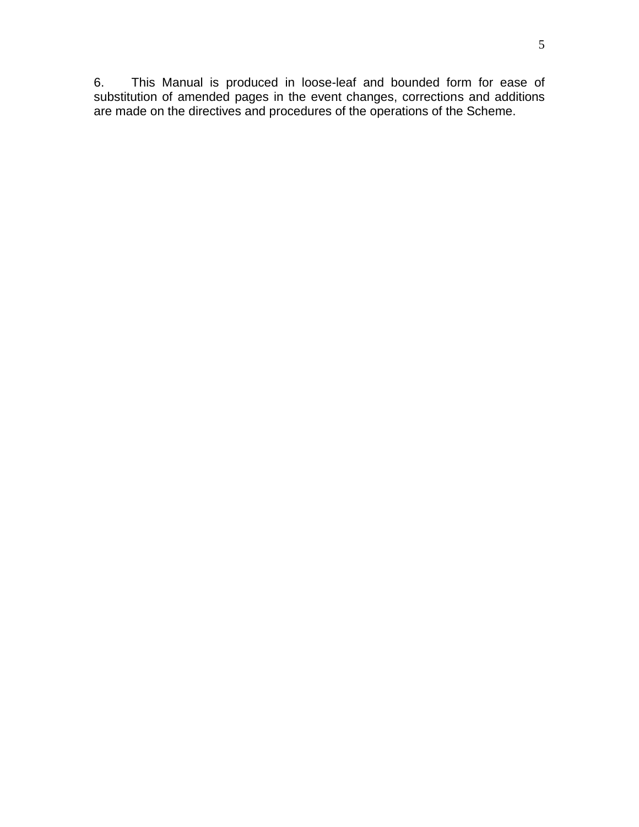6. This Manual is produced in loose-leaf and bounded form for ease of substitution of amended pages in the event changes, corrections and additions are made on the directives and procedures of the operations of the Scheme.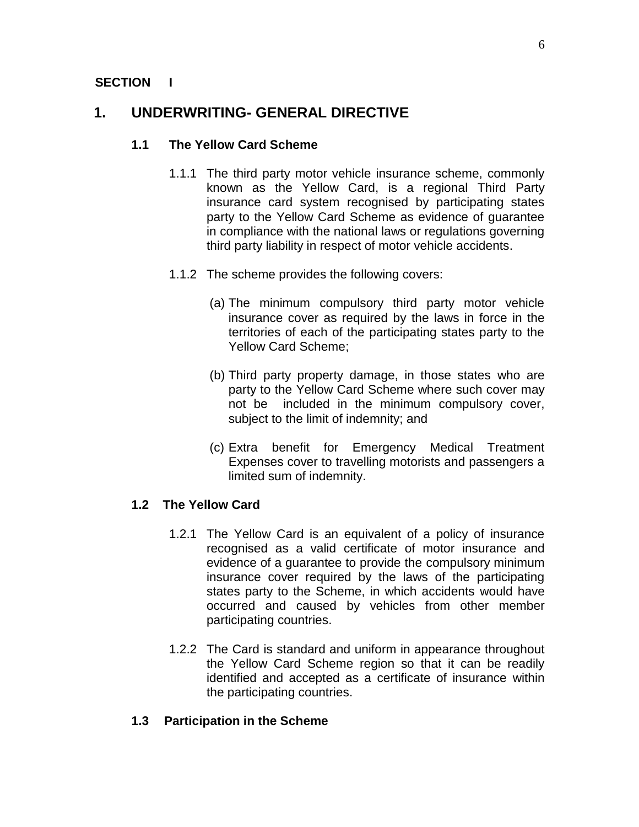#### **SECTION I**

# **1. UNDERWRITING- GENERAL DIRECTIVE**

#### **1.1 The Yellow Card Scheme**

- 1.1.1 The third party motor vehicle insurance scheme, commonly known as the Yellow Card, is a regional Third Party insurance card system recognised by participating states party to the Yellow Card Scheme as evidence of guarantee in compliance with the national laws or regulations governing third party liability in respect of motor vehicle accidents.
- 1.1.2 The scheme provides the following covers:
	- (a) The minimum compulsory third party motor vehicle insurance cover as required by the laws in force in the territories of each of the participating states party to the Yellow Card Scheme;
	- (b) Third party property damage, in those states who are party to the Yellow Card Scheme where such cover may not be included in the minimum compulsory cover, subject to the limit of indemnity; and
	- (c) Extra benefit for Emergency Medical Treatment Expenses cover to travelling motorists and passengers a limited sum of indemnity.

#### **1.2 The Yellow Card**

- 1.2.1 The Yellow Card is an equivalent of a policy of insurance recognised as a valid certificate of motor insurance and evidence of a guarantee to provide the compulsory minimum insurance cover required by the laws of the participating states party to the Scheme, in which accidents would have occurred and caused by vehicles from other member participating countries.
- 1.2.2 The Card is standard and uniform in appearance throughout the Yellow Card Scheme region so that it can be readily identified and accepted as a certificate of insurance within the participating countries.

## **1.3 Participation in the Scheme**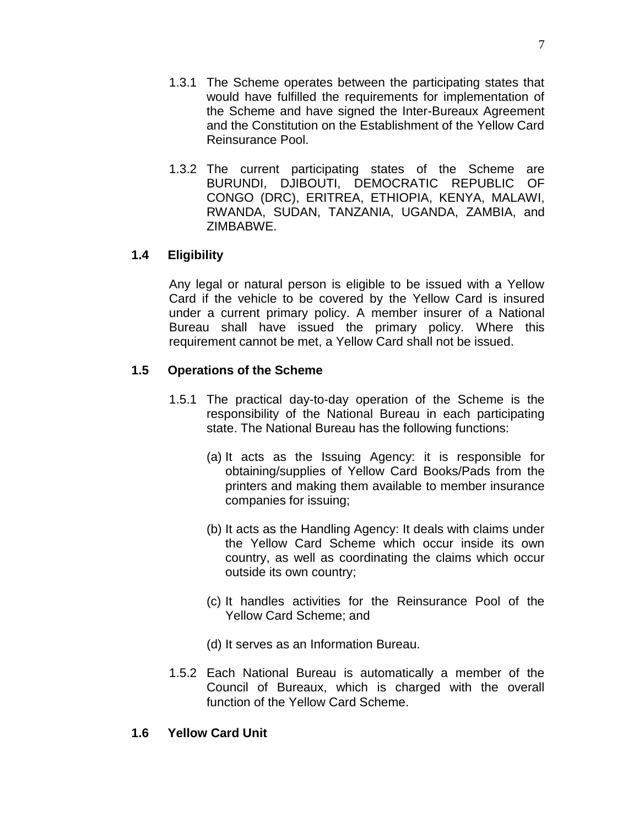- 1.3.1 The Scheme operates between the participating states that would have fulfilled the requirements for implementation of the Scheme and have signed the Inter-Bureaux Agreement and the Constitution on the Establishment of the Yellow Card Reinsurance Pool.
- 1.3.2 The current participating states of the Scheme are BURUNDI, DJIBOUTI, DEMOCRATIC REPUBLIC OF CONGO (DRC), ERITREA, ETHIOPIA, KENYA, MALAWI, RWANDA, SUDAN, TANZANIA, UGANDA, ZAMBIA, and ZIMBABWE.

#### **1.4 Eligibility**

Any legal or natural person is eligible to be issued with a Yellow Card if the vehicle to be covered by the Yellow Card is insured under a current primary policy. A member insurer of a National Bureau shall have issued the primary policy. Where this requirement cannot be met, a Yellow Card shall not be issued.

#### **1.5 Operations of the Scheme**

- 1.5.1 The practical day-to-day operation of the Scheme is the responsibility of the National Bureau in each participating state. The National Bureau has the following functions:
	- (a) It acts as the Issuing Agency: it is responsible for obtaining/supplies of Yellow Card Books/Pads from the printers and making them available to member insurance companies for issuing;
	- (b) It acts as the Handling Agency: It deals with claims under the Yellow Card Scheme which occur inside its own country, as well as coordinating the claims which occur outside its own country;
	- (c) It handles activities for the Reinsurance Pool of the Yellow Card Scheme; and
	- (d) It serves as an Information Bureau.
- 1.5.2 Each National Bureau is automatically a member of the Council of Bureaux, which is charged with the overall function of the Yellow Card Scheme.

#### **1.6 Yellow Card Unit**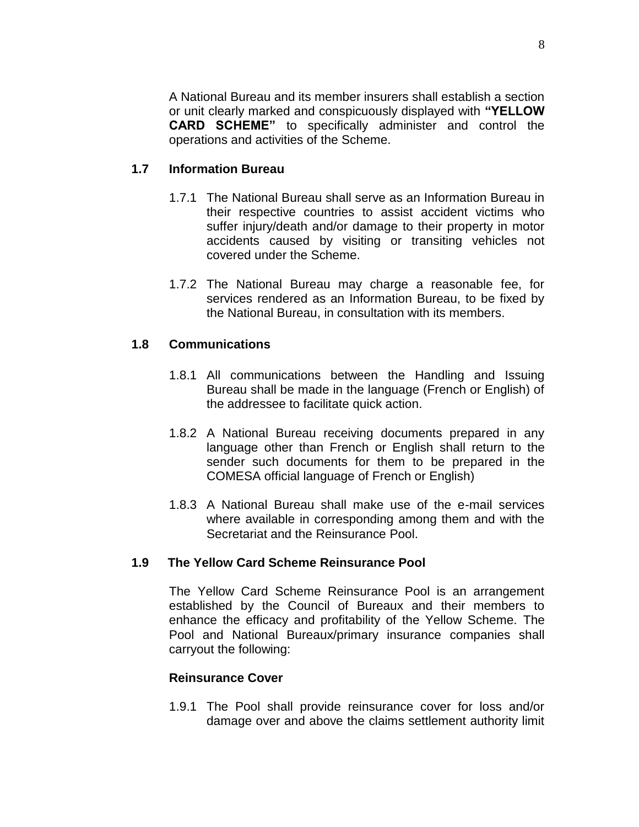A National Bureau and its member insurers shall establish a section or unit clearly marked and conspicuously displayed with **"YELLOW CARD SCHEME"** to specifically administer and control the operations and activities of the Scheme.

#### **1.7 Information Bureau**

- 1.7.1 The National Bureau shall serve as an Information Bureau in their respective countries to assist accident victims who suffer injury/death and/or damage to their property in motor accidents caused by visiting or transiting vehicles not covered under the Scheme.
- 1.7.2 The National Bureau may charge a reasonable fee, for services rendered as an Information Bureau, to be fixed by the National Bureau, in consultation with its members.

#### **1.8 Communications**

- 1.8.1 All communications between the Handling and Issuing Bureau shall be made in the language (French or English) of the addressee to facilitate quick action.
- 1.8.2 A National Bureau receiving documents prepared in any language other than French or English shall return to the sender such documents for them to be prepared in the COMESA official language of French or English)
- 1.8.3 A National Bureau shall make use of the e-mail services where available in corresponding among them and with the Secretariat and the Reinsurance Pool.

## **1.9 The Yellow Card Scheme Reinsurance Pool**

The Yellow Card Scheme Reinsurance Pool is an arrangement established by the Council of Bureaux and their members to enhance the efficacy and profitability of the Yellow Scheme. The Pool and National Bureaux/primary insurance companies shall carryout the following:

#### **Reinsurance Cover**

1.9.1 The Pool shall provide reinsurance cover for loss and/or damage over and above the claims settlement authority limit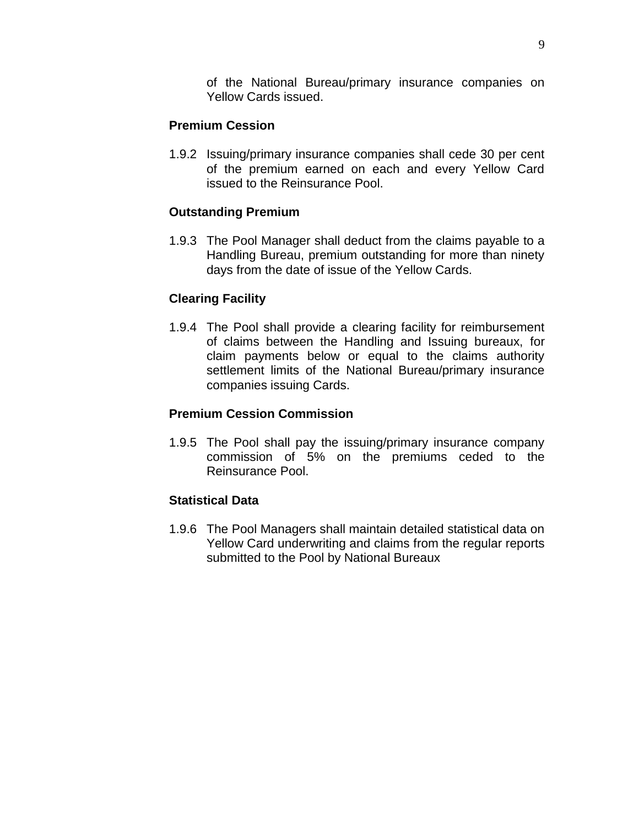of the National Bureau/primary insurance companies on Yellow Cards issued.

#### **Premium Cession**

1.9.2 Issuing/primary insurance companies shall cede 30 per cent of the premium earned on each and every Yellow Card issued to the Reinsurance Pool.

#### **Outstanding Premium**

1.9.3 The Pool Manager shall deduct from the claims payable to a Handling Bureau, premium outstanding for more than ninety days from the date of issue of the Yellow Cards.

#### **Clearing Facility**

1.9.4 The Pool shall provide a clearing facility for reimbursement of claims between the Handling and Issuing bureaux, for claim payments below or equal to the claims authority settlement limits of the National Bureau/primary insurance companies issuing Cards.

#### **Premium Cession Commission**

1.9.5 The Pool shall pay the issuing/primary insurance company commission of 5% on the premiums ceded to the Reinsurance Pool.

#### **Statistical Data**

1.9.6 The Pool Managers shall maintain detailed statistical data on Yellow Card underwriting and claims from the regular reports submitted to the Pool by National Bureaux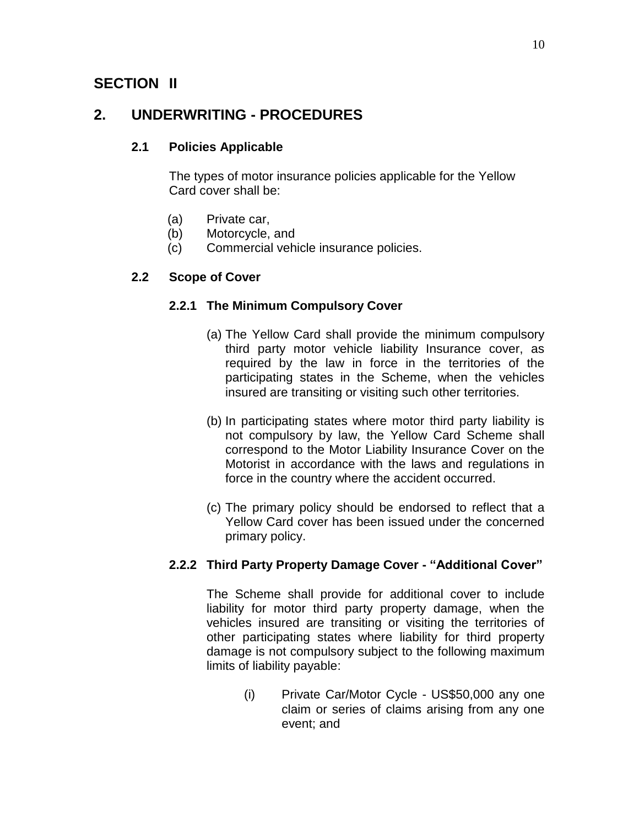# **SECTION II**

# **2. UNDERWRITING - PROCEDURES**

## **2.1 Policies Applicable**

The types of motor insurance policies applicable for the Yellow Card cover shall be:

- (a) Private car,
- (b) Motorcycle, and
- (c) Commercial vehicle insurance policies.

## **2.2 Scope of Cover**

#### **2.2.1 The Minimum Compulsory Cover**

- (a) The Yellow Card shall provide the minimum compulsory third party motor vehicle liability Insurance cover, as required by the law in force in the territories of the participating states in the Scheme, when the vehicles insured are transiting or visiting such other territories.
- (b) In participating states where motor third party liability is not compulsory by law, the Yellow Card Scheme shall correspond to the Motor Liability Insurance Cover on the Motorist in accordance with the laws and regulations in force in the country where the accident occurred.
- (c) The primary policy should be endorsed to reflect that a Yellow Card cover has been issued under the concerned primary policy.

## **2.2.2 Third Party Property Damage Cover - "Additional Cover"**

The Scheme shall provide for additional cover to include liability for motor third party property damage, when the vehicles insured are transiting or visiting the territories of other participating states where liability for third property damage is not compulsory subject to the following maximum limits of liability payable:

> (i) Private Car/Motor Cycle - US\$50,000 any one claim or series of claims arising from any one event; and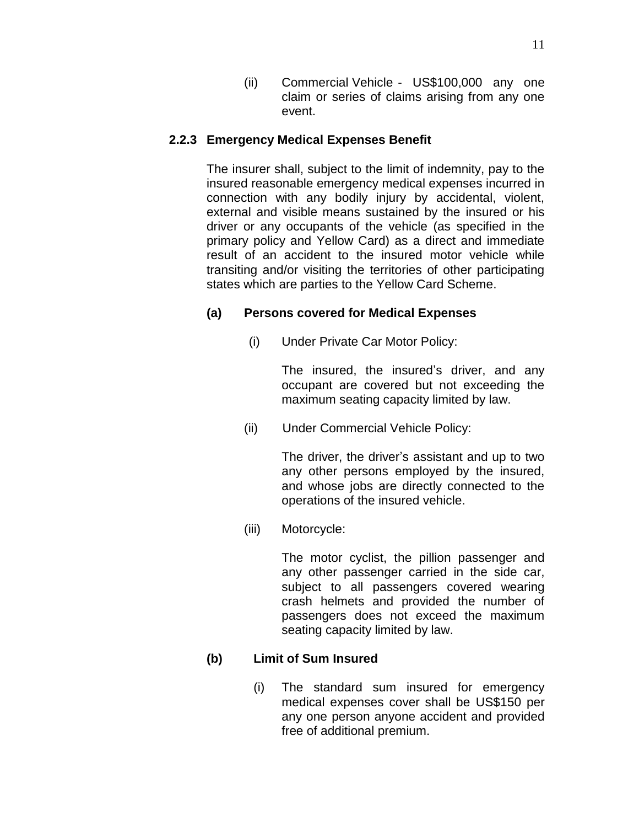(ii) Commercial Vehicle - US\$100,000 any one claim or series of claims arising from any one event.

## **2.2.3 Emergency Medical Expenses Benefit**

The insurer shall, subject to the limit of indemnity, pay to the insured reasonable emergency medical expenses incurred in connection with any bodily injury by accidental, violent, external and visible means sustained by the insured or his driver or any occupants of the vehicle (as specified in the primary policy and Yellow Card) as a direct and immediate result of an accident to the insured motor vehicle while transiting and/or visiting the territories of other participating states which are parties to the Yellow Card Scheme.

## **(a) Persons covered for Medical Expenses**

(i) Under Private Car Motor Policy:

The insured, the insured's driver, and any occupant are covered but not exceeding the maximum seating capacity limited by law.

(ii) Under Commercial Vehicle Policy:

The driver, the driver's assistant and up to two any other persons employed by the insured, and whose jobs are directly connected to the operations of the insured vehicle.

(iii) Motorcycle:

The motor cyclist, the pillion passenger and any other passenger carried in the side car, subject to all passengers covered wearing crash helmets and provided the number of passengers does not exceed the maximum seating capacity limited by law.

## **(b) Limit of Sum Insured**

(i) The standard sum insured for emergency medical expenses cover shall be US\$150 per any one person anyone accident and provided free of additional premium.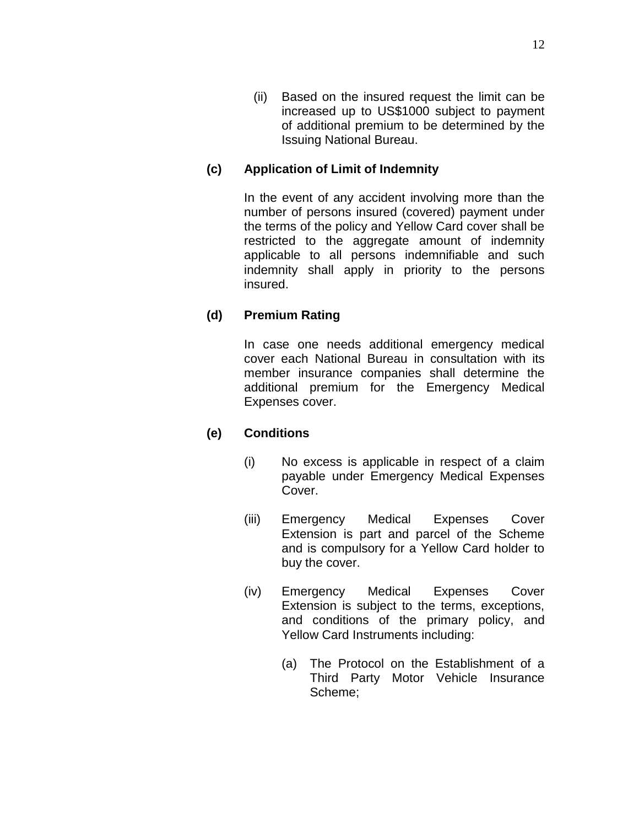(ii) Based on the insured request the limit can be increased up to US\$1000 subject to payment of additional premium to be determined by the Issuing National Bureau.

## **(c) Application of Limit of Indemnity**

In the event of any accident involving more than the number of persons insured (covered) payment under the terms of the policy and Yellow Card cover shall be restricted to the aggregate amount of indemnity applicable to all persons indemnifiable and such indemnity shall apply in priority to the persons insured.

## **(d) Premium Rating**

In case one needs additional emergency medical cover each National Bureau in consultation with its member insurance companies shall determine the additional premium for the Emergency Medical Expenses cover.

## **(e) Conditions**

- (i) No excess is applicable in respect of a claim payable under Emergency Medical Expenses Cover.
- (iii) Emergency Medical Expenses Cover Extension is part and parcel of the Scheme and is compulsory for a Yellow Card holder to buy the cover.
- (iv) Emergency Medical Expenses Cover Extension is subject to the terms, exceptions, and conditions of the primary policy, and Yellow Card Instruments including:
	- (a) The Protocol on the Establishment of a Third Party Motor Vehicle Insurance Scheme;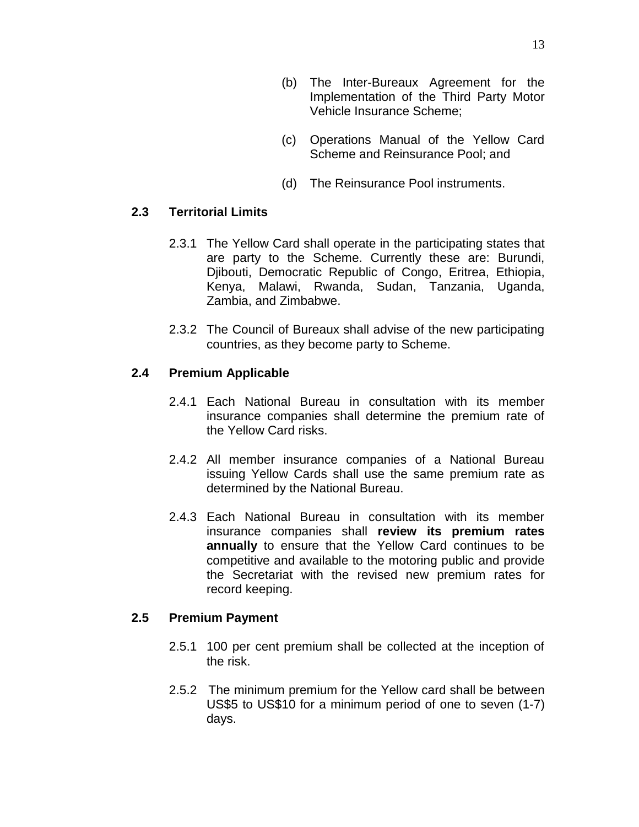- (b) The Inter-Bureaux Agreement for the Implementation of the Third Party Motor Vehicle Insurance Scheme;
- (c) Operations Manual of the Yellow Card Scheme and Reinsurance Pool; and
- (d) The Reinsurance Pool instruments.

#### **2.3 Territorial Limits**

- 2.3.1 The Yellow Card shall operate in the participating states that are party to the Scheme. Currently these are: Burundi, Djibouti, Democratic Republic of Congo, Eritrea, Ethiopia, Kenya, Malawi, Rwanda, Sudan, Tanzania, Uganda, Zambia, and Zimbabwe.
- 2.3.2 The Council of Bureaux shall advise of the new participating countries, as they become party to Scheme.

#### **2.4 Premium Applicable**

- 2.4.1 Each National Bureau in consultation with its member insurance companies shall determine the premium rate of the Yellow Card risks.
- 2.4.2 All member insurance companies of a National Bureau issuing Yellow Cards shall use the same premium rate as determined by the National Bureau.
- 2.4.3 Each National Bureau in consultation with its member insurance companies shall **review its premium rates annually** to ensure that the Yellow Card continues to be competitive and available to the motoring public and provide the Secretariat with the revised new premium rates for record keeping.

#### **2.5 Premium Payment**

- 2.5.1 100 per cent premium shall be collected at the inception of the risk.
- 2.5.2 The minimum premium for the Yellow card shall be between US\$5 to US\$10 for a minimum period of one to seven (1-7) days.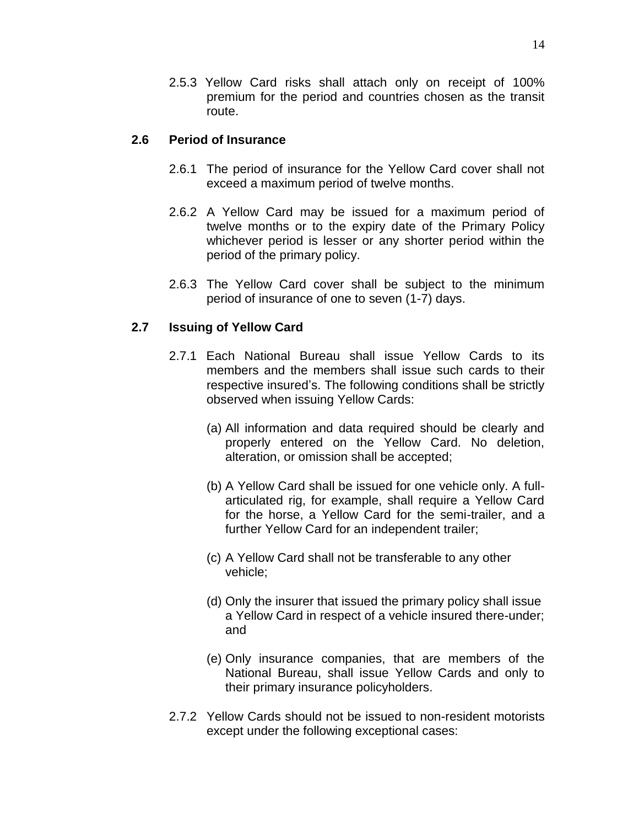2.5.3 Yellow Card risks shall attach only on receipt of 100% premium for the period and countries chosen as the transit route.

#### **2.6 Period of Insurance**

- 2.6.1 The period of insurance for the Yellow Card cover shall not exceed a maximum period of twelve months.
- 2.6.2 A Yellow Card may be issued for a maximum period of twelve months or to the expiry date of the Primary Policy whichever period is lesser or any shorter period within the period of the primary policy.
- 2.6.3 The Yellow Card cover shall be subject to the minimum period of insurance of one to seven (1-7) days.

#### **2.7 Issuing of Yellow Card**

- 2.7.1 Each National Bureau shall issue Yellow Cards to its members and the members shall issue such cards to their respective insured's. The following conditions shall be strictly observed when issuing Yellow Cards:
	- (a) All information and data required should be clearly and properly entered on the Yellow Card. No deletion, alteration, or omission shall be accepted;
	- (b) A Yellow Card shall be issued for one vehicle only. A fullarticulated rig, for example, shall require a Yellow Card for the horse, a Yellow Card for the semi-trailer, and a further Yellow Card for an independent trailer;
	- (c) A Yellow Card shall not be transferable to any other vehicle;
	- (d) Only the insurer that issued the primary policy shall issue a Yellow Card in respect of a vehicle insured there-under; and
	- (e) Only insurance companies, that are members of the National Bureau, shall issue Yellow Cards and only to their primary insurance policyholders.
- 2.7.2 Yellow Cards should not be issued to non-resident motorists except under the following exceptional cases: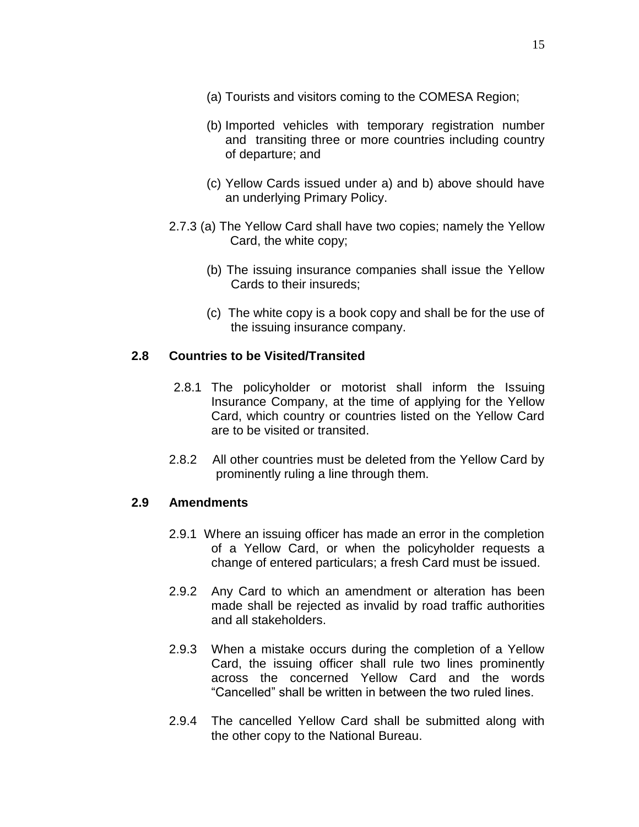- (a) Tourists and visitors coming to the COMESA Region;
- (b) Imported vehicles with temporary registration number and transiting three or more countries including country of departure; and
- (c) Yellow Cards issued under a) and b) above should have an underlying Primary Policy.
- 2.7.3 (a) The Yellow Card shall have two copies; namely the Yellow Card, the white copy;
	- (b) The issuing insurance companies shall issue the Yellow Cards to their insureds;
	- (c) The white copy is a book copy and shall be for the use of the issuing insurance company.

#### **2.8 Countries to be Visited/Transited**

- 2.8.1 The policyholder or motorist shall inform the Issuing Insurance Company, at the time of applying for the Yellow Card, which country or countries listed on the Yellow Card are to be visited or transited.
- 2.8.2 All other countries must be deleted from the Yellow Card by prominently ruling a line through them.

#### **2.9 Amendments**

- 2.9.1 Where an issuing officer has made an error in the completion of a Yellow Card, or when the policyholder requests a change of entered particulars; a fresh Card must be issued.
- 2.9.2 Any Card to which an amendment or alteration has been made shall be rejected as invalid by road traffic authorities and all stakeholders.
- 2.9.3 When a mistake occurs during the completion of a Yellow Card, the issuing officer shall rule two lines prominently across the concerned Yellow Card and the words "Cancelled" shall be written in between the two ruled lines.
- 2.9.4 The cancelled Yellow Card shall be submitted along with the other copy to the National Bureau.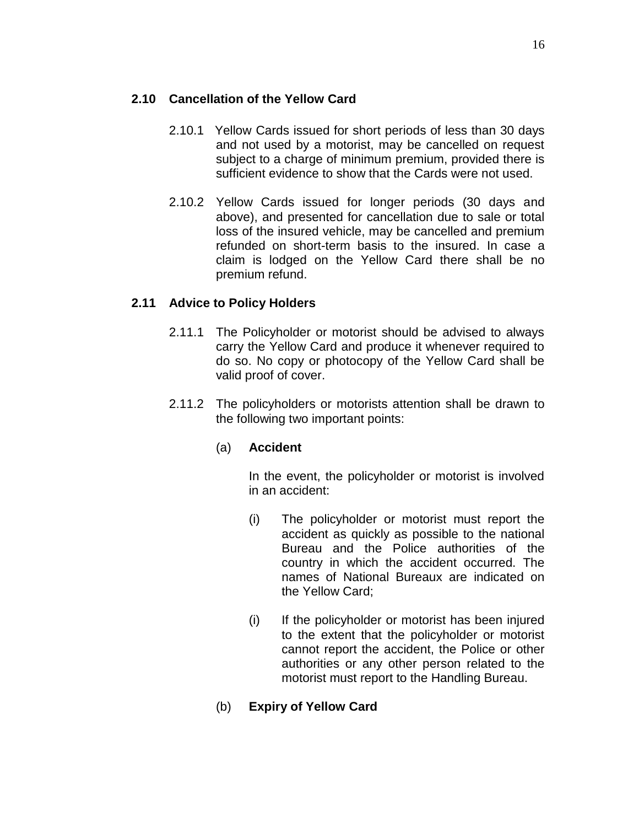#### **2.10 Cancellation of the Yellow Card**

- 2.10.1 Yellow Cards issued for short periods of less than 30 days and not used by a motorist, may be cancelled on request subject to a charge of minimum premium, provided there is sufficient evidence to show that the Cards were not used.
- 2.10.2 Yellow Cards issued for longer periods (30 days and above), and presented for cancellation due to sale or total loss of the insured vehicle, may be cancelled and premium refunded on short-term basis to the insured. In case a claim is lodged on the Yellow Card there shall be no premium refund.

#### **2.11 Advice to Policy Holders**

- 2.11.1 The Policyholder or motorist should be advised to always carry the Yellow Card and produce it whenever required to do so. No copy or photocopy of the Yellow Card shall be valid proof of cover.
- 2.11.2 The policyholders or motorists attention shall be drawn to the following two important points:

#### (a) **Accident**

In the event, the policyholder or motorist is involved in an accident:

- (i) The policyholder or motorist must report the accident as quickly as possible to the national Bureau and the Police authorities of the country in which the accident occurred. The names of National Bureaux are indicated on the Yellow Card;
- (i) If the policyholder or motorist has been injured to the extent that the policyholder or motorist cannot report the accident, the Police or other authorities or any other person related to the motorist must report to the Handling Bureau.
- (b) **Expiry of Yellow Card**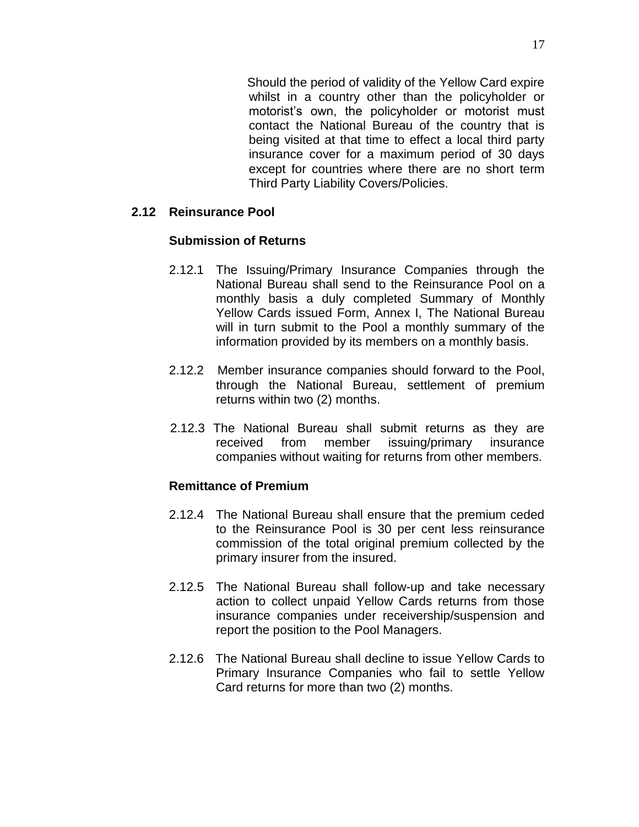Should the period of validity of the Yellow Card expire whilst in a country other than the policyholder or motorist's own, the policyholder or motorist must contact the National Bureau of the country that is being visited at that time to effect a local third party insurance cover for a maximum period of 30 days except for countries where there are no short term Third Party Liability Covers/Policies.

#### **2.12 Reinsurance Pool**

#### **Submission of Returns**

- 2.12.1 The Issuing/Primary Insurance Companies through the National Bureau shall send to the Reinsurance Pool on a monthly basis a duly completed Summary of Monthly Yellow Cards issued Form, Annex I, The National Bureau will in turn submit to the Pool a monthly summary of the information provided by its members on a monthly basis.
- 2.12.2 Member insurance companies should forward to the Pool, through the National Bureau, settlement of premium returns within two (2) months.
- 2.12.3 The National Bureau shall submit returns as they are received from member issuing/primary insurance companies without waiting for returns from other members.

#### **Remittance of Premium**

- 2.12.4 The National Bureau shall ensure that the premium ceded to the Reinsurance Pool is 30 per cent less reinsurance commission of the total original premium collected by the primary insurer from the insured.
- 2.12.5 The National Bureau shall follow-up and take necessary action to collect unpaid Yellow Cards returns from those insurance companies under receivership/suspension and report the position to the Pool Managers.
- 2.12.6 The National Bureau shall decline to issue Yellow Cards to Primary Insurance Companies who fail to settle Yellow Card returns for more than two (2) months.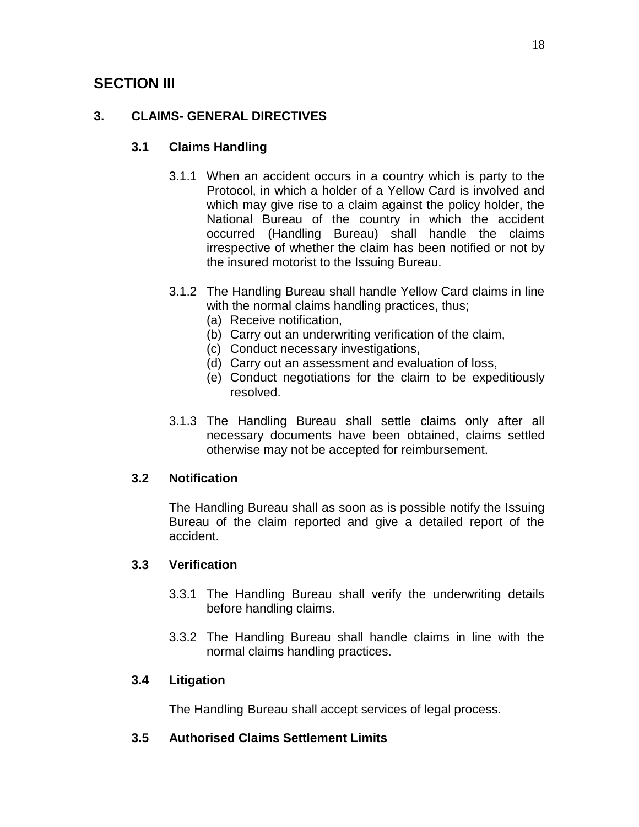# **SECTION III**

## **3. CLAIMS- GENERAL DIRECTIVES**

#### **3.1 Claims Handling**

- 3.1.1 When an accident occurs in a country which is party to the Protocol, in which a holder of a Yellow Card is involved and which may give rise to a claim against the policy holder, the National Bureau of the country in which the accident occurred (Handling Bureau) shall handle the claims irrespective of whether the claim has been notified or not by the insured motorist to the Issuing Bureau.
- 3.1.2 The Handling Bureau shall handle Yellow Card claims in line with the normal claims handling practices, thus;
	- (a) Receive notification,
	- (b) Carry out an underwriting verification of the claim,
	- (c) Conduct necessary investigations,
	- (d) Carry out an assessment and evaluation of loss,
	- (e) Conduct negotiations for the claim to be expeditiously resolved.
- 3.1.3 The Handling Bureau shall settle claims only after all necessary documents have been obtained, claims settled otherwise may not be accepted for reimbursement.

## **3.2 Notification**

The Handling Bureau shall as soon as is possible notify the Issuing Bureau of the claim reported and give a detailed report of the accident.

## **3.3 Verification**

- 3.3.1 The Handling Bureau shall verify the underwriting details before handling claims.
- 3.3.2 The Handling Bureau shall handle claims in line with the normal claims handling practices.

## **3.4 Litigation**

The Handling Bureau shall accept services of legal process.

## **3.5 Authorised Claims Settlement Limits**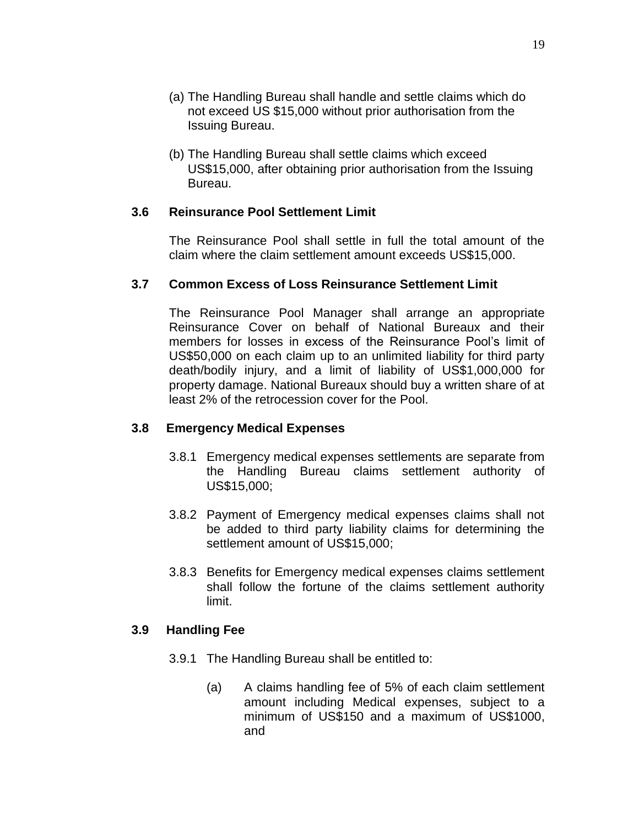- (a) The Handling Bureau shall handle and settle claims which do not exceed US \$15,000 without prior authorisation from the Issuing Bureau.
- (b) The Handling Bureau shall settle claims which exceed US\$15,000, after obtaining prior authorisation from the Issuing Bureau.

#### **3.6 Reinsurance Pool Settlement Limit**

The Reinsurance Pool shall settle in full the total amount of the claim where the claim settlement amount exceeds US\$15,000.

#### **3.7 Common Excess of Loss Reinsurance Settlement Limit**

The Reinsurance Pool Manager shall arrange an appropriate Reinsurance Cover on behalf of National Bureaux and their members for losses in excess of the Reinsurance Pool's limit of US\$50,000 on each claim up to an unlimited liability for third party death/bodily injury, and a limit of liability of US\$1,000,000 for property damage. National Bureaux should buy a written share of at least 2% of the retrocession cover for the Pool.

#### **3.8 Emergency Medical Expenses**

- 3.8.1 Emergency medical expenses settlements are separate from the Handling Bureau claims settlement authority of US\$15,000;
- 3.8.2 Payment of Emergency medical expenses claims shall not be added to third party liability claims for determining the settlement amount of US\$15,000;
- 3.8.3 Benefits for Emergency medical expenses claims settlement shall follow the fortune of the claims settlement authority limit.

#### **3.9 Handling Fee**

- 3.9.1 The Handling Bureau shall be entitled to:
	- (a) A claims handling fee of 5% of each claim settlement amount including Medical expenses, subject to a minimum of US\$150 and a maximum of US\$1000, and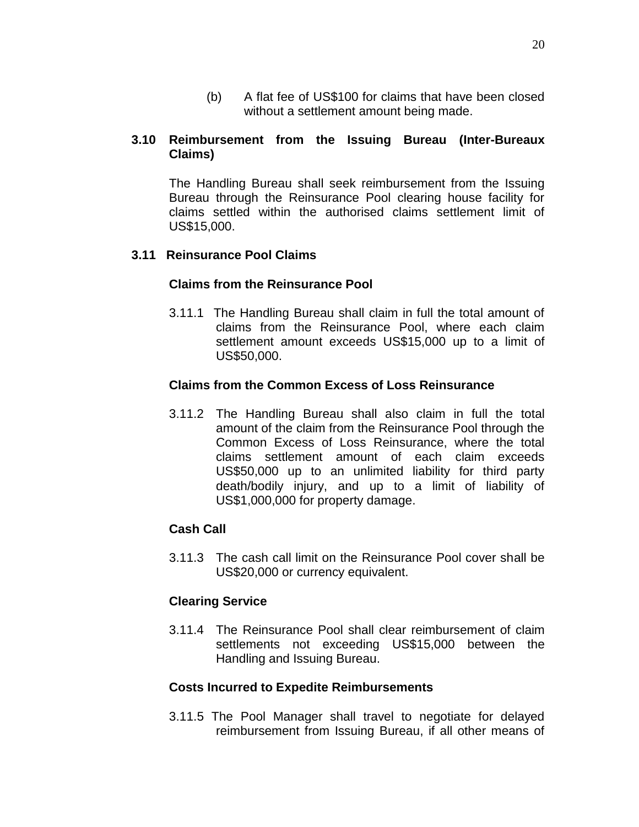(b) A flat fee of US\$100 for claims that have been closed without a settlement amount being made.

#### **3.10 Reimbursement from the Issuing Bureau (Inter-Bureaux Claims)**

The Handling Bureau shall seek reimbursement from the Issuing Bureau through the Reinsurance Pool clearing house facility for claims settled within the authorised claims settlement limit of US\$15,000.

#### **3.11 Reinsurance Pool Claims**

#### **Claims from the Reinsurance Pool**

3.11.1 The Handling Bureau shall claim in full the total amount of claims from the Reinsurance Pool, where each claim settlement amount exceeds US\$15,000 up to a limit of US\$50,000.

#### **Claims from the Common Excess of Loss Reinsurance**

3.11.2 The Handling Bureau shall also claim in full the total amount of the claim from the Reinsurance Pool through the Common Excess of Loss Reinsurance, where the total claims settlement amount of each claim exceeds US\$50,000 up to an unlimited liability for third party death/bodily injury, and up to a limit of liability of US\$1,000,000 for property damage.

#### **Cash Call**

3.11.3 The cash call limit on the Reinsurance Pool cover shall be US\$20,000 or currency equivalent.

#### **Clearing Service**

3.11.4 The Reinsurance Pool shall clear reimbursement of claim settlements not exceeding US\$15,000 between the Handling and Issuing Bureau.

#### **Costs Incurred to Expedite Reimbursements**

3.11.5 The Pool Manager shall travel to negotiate for delayed reimbursement from Issuing Bureau, if all other means of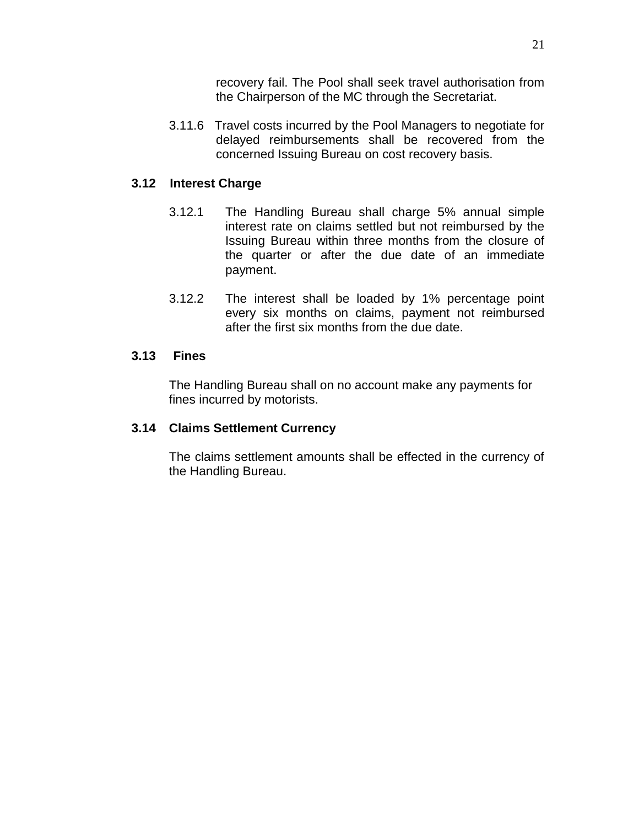recovery fail. The Pool shall seek travel authorisation from the Chairperson of the MC through the Secretariat.

3.11.6 Travel costs incurred by the Pool Managers to negotiate for delayed reimbursements shall be recovered from the concerned Issuing Bureau on cost recovery basis.

#### **3.12 Interest Charge**

- 3.12.1 The Handling Bureau shall charge 5% annual simple interest rate on claims settled but not reimbursed by the Issuing Bureau within three months from the closure of the quarter or after the due date of an immediate payment.
- 3.12.2 The interest shall be loaded by 1% percentage point every six months on claims, payment not reimbursed after the first six months from the due date.

#### **3.13 Fines**

The Handling Bureau shall on no account make any payments for fines incurred by motorists.

#### **3.14 Claims Settlement Currency**

The claims settlement amounts shall be effected in the currency of the Handling Bureau.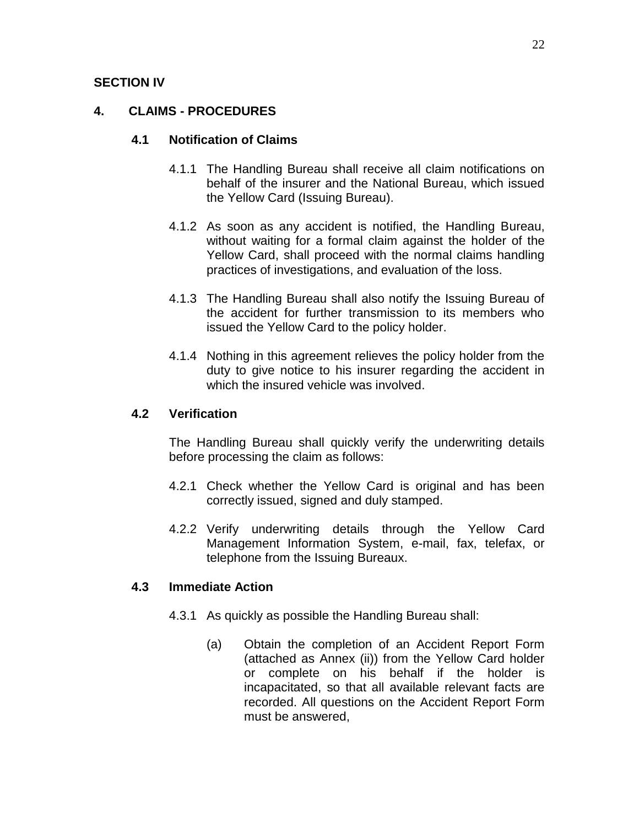#### **SECTION IV**

#### **4. CLAIMS - PROCEDURES**

#### **4.1 Notification of Claims**

- 4.1.1 The Handling Bureau shall receive all claim notifications on behalf of the insurer and the National Bureau, which issued the Yellow Card (Issuing Bureau).
- 4.1.2 As soon as any accident is notified, the Handling Bureau, without waiting for a formal claim against the holder of the Yellow Card, shall proceed with the normal claims handling practices of investigations, and evaluation of the loss.
- 4.1.3 The Handling Bureau shall also notify the Issuing Bureau of the accident for further transmission to its members who issued the Yellow Card to the policy holder.
- 4.1.4 Nothing in this agreement relieves the policy holder from the duty to give notice to his insurer regarding the accident in which the insured vehicle was involved.

#### **4.2 Verification**

The Handling Bureau shall quickly verify the underwriting details before processing the claim as follows:

- 4.2.1 Check whether the Yellow Card is original and has been correctly issued, signed and duly stamped.
- 4.2.2 Verify underwriting details through the Yellow Card Management Information System, e-mail, fax, telefax, or telephone from the Issuing Bureaux.

#### **4.3 Immediate Action**

- 4.3.1 As quickly as possible the Handling Bureau shall:
	- (a) Obtain the completion of an Accident Report Form (attached as Annex (ii)) from the Yellow Card holder or complete on his behalf if the holder is incapacitated, so that all available relevant facts are recorded. All questions on the Accident Report Form must be answered,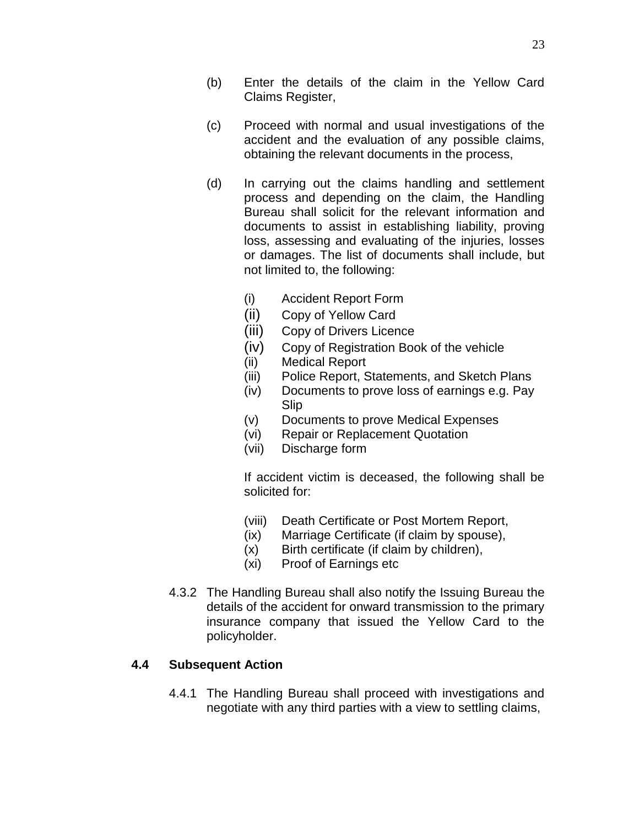- (b) Enter the details of the claim in the Yellow Card Claims Register,
- (c) Proceed with normal and usual investigations of the accident and the evaluation of any possible claims, obtaining the relevant documents in the process,
- (d) In carrying out the claims handling and settlement process and depending on the claim, the Handling Bureau shall solicit for the relevant information and documents to assist in establishing liability, proving loss, assessing and evaluating of the injuries, losses or damages. The list of documents shall include, but not limited to, the following:
	- (i) Accident Report Form
	- (ii) Copy of Yellow Card
	- (iii) Copy of Drivers Licence
	- (iv) Copy of Registration Book of the vehicle
	- (ii) Medical Report
	- (iii) Police Report, Statements, and Sketch Plans
	- (iv) Documents to prove loss of earnings e.g. Pay Slip
	- (v) Documents to prove Medical Expenses
	- (vi) Repair or Replacement Quotation
	- (vii) Discharge form

If accident victim is deceased, the following shall be solicited for:

- (viii) Death Certificate or Post Mortem Report,
- (ix) Marriage Certificate (if claim by spouse),
- (x) Birth certificate (if claim by children),
- (xi) Proof of Earnings etc
- 4.3.2 The Handling Bureau shall also notify the Issuing Bureau the details of the accident for onward transmission to the primary insurance company that issued the Yellow Card to the policyholder.

#### **4.4 Subsequent Action**

4.4.1 The Handling Bureau shall proceed with investigations and negotiate with any third parties with a view to settling claims,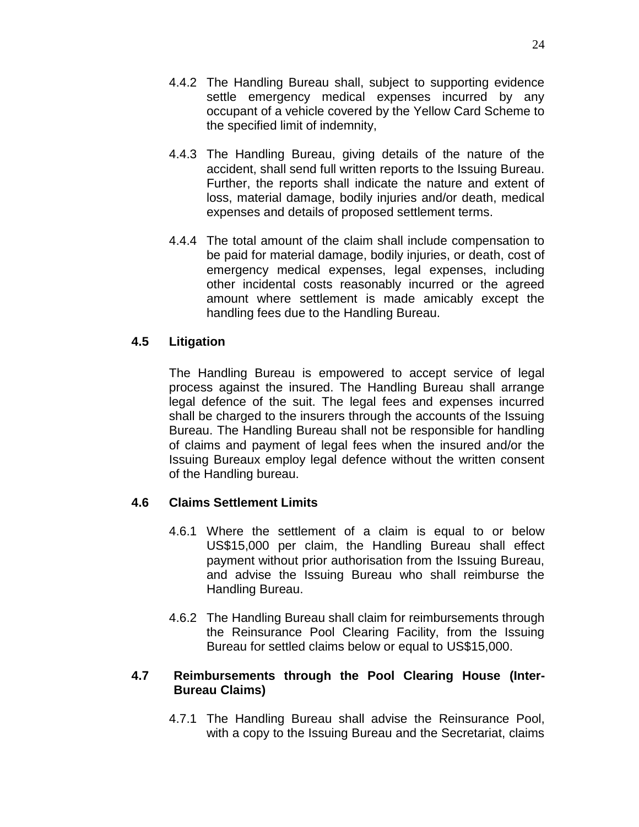- 4.4.2 The Handling Bureau shall, subject to supporting evidence settle emergency medical expenses incurred by any occupant of a vehicle covered by the Yellow Card Scheme to the specified limit of indemnity,
- 4.4.3 The Handling Bureau, giving details of the nature of the accident, shall send full written reports to the Issuing Bureau. Further, the reports shall indicate the nature and extent of loss, material damage, bodily injuries and/or death, medical expenses and details of proposed settlement terms.
- 4.4.4 The total amount of the claim shall include compensation to be paid for material damage, bodily injuries, or death, cost of emergency medical expenses, legal expenses, including other incidental costs reasonably incurred or the agreed amount where settlement is made amicably except the handling fees due to the Handling Bureau.

#### **4.5 Litigation**

The Handling Bureau is empowered to accept service of legal process against the insured. The Handling Bureau shall arrange legal defence of the suit. The legal fees and expenses incurred shall be charged to the insurers through the accounts of the Issuing Bureau. The Handling Bureau shall not be responsible for handling of claims and payment of legal fees when the insured and/or the Issuing Bureaux employ legal defence without the written consent of the Handling bureau.

#### **4.6 Claims Settlement Limits**

- 4.6.1 Where the settlement of a claim is equal to or below US\$15,000 per claim, the Handling Bureau shall effect payment without prior authorisation from the Issuing Bureau, and advise the Issuing Bureau who shall reimburse the Handling Bureau.
- 4.6.2 The Handling Bureau shall claim for reimbursements through the Reinsurance Pool Clearing Facility, from the Issuing Bureau for settled claims below or equal to US\$15,000.

#### **4.7 Reimbursements through the Pool Clearing House (Inter-Bureau Claims)**

4.7.1 The Handling Bureau shall advise the Reinsurance Pool, with a copy to the Issuing Bureau and the Secretariat, claims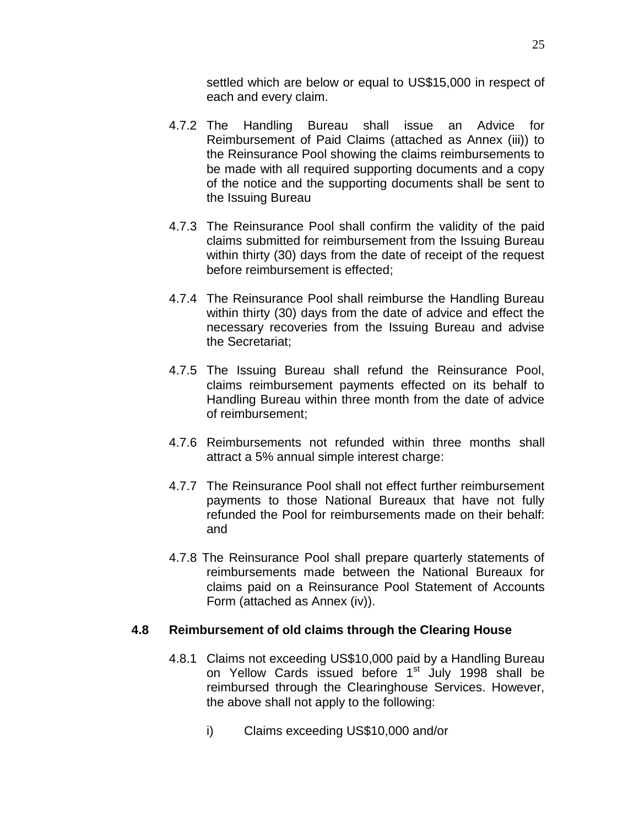settled which are below or equal to US\$15,000 in respect of each and every claim.

- 4.7.2 The Handling Bureau shall issue an Advice for Reimbursement of Paid Claims (attached as Annex (iii)) to the Reinsurance Pool showing the claims reimbursements to be made with all required supporting documents and a copy of the notice and the supporting documents shall be sent to the Issuing Bureau
- 4.7.3 The Reinsurance Pool shall confirm the validity of the paid claims submitted for reimbursement from the Issuing Bureau within thirty (30) days from the date of receipt of the request before reimbursement is effected;
- 4.7.4 The Reinsurance Pool shall reimburse the Handling Bureau within thirty (30) days from the date of advice and effect the necessary recoveries from the Issuing Bureau and advise the Secretariat;
- 4.7.5 The Issuing Bureau shall refund the Reinsurance Pool, claims reimbursement payments effected on its behalf to Handling Bureau within three month from the date of advice of reimbursement;
- 4.7.6 Reimbursements not refunded within three months shall attract a 5% annual simple interest charge:
- 4.7.7 The Reinsurance Pool shall not effect further reimbursement payments to those National Bureaux that have not fully refunded the Pool for reimbursements made on their behalf: and
- 4.7.8 The Reinsurance Pool shall prepare quarterly statements of reimbursements made between the National Bureaux for claims paid on a Reinsurance Pool Statement of Accounts Form (attached as Annex (iv)).

#### **4.8 Reimbursement of old claims through the Clearing House**

- 4.8.1 Claims not exceeding US\$10,000 paid by a Handling Bureau on Yellow Cards issued before 1<sup>st</sup> July 1998 shall be reimbursed through the Clearinghouse Services. However, the above shall not apply to the following:
	- i) Claims exceeding US\$10,000 and/or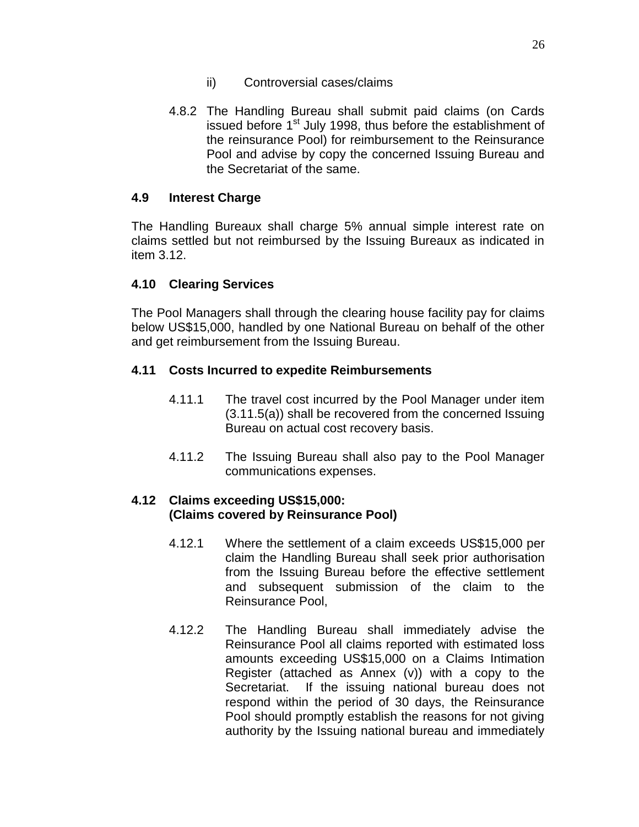- ii) Controversial cases/claims
- 4.8.2 The Handling Bureau shall submit paid claims (on Cards issued before 1<sup>st</sup> July 1998, thus before the establishment of the reinsurance Pool) for reimbursement to the Reinsurance Pool and advise by copy the concerned Issuing Bureau and the Secretariat of the same.

#### **4.9 Interest Charge**

The Handling Bureaux shall charge 5% annual simple interest rate on claims settled but not reimbursed by the Issuing Bureaux as indicated in item 3.12.

#### **4.10 Clearing Services**

The Pool Managers shall through the clearing house facility pay for claims below US\$15,000, handled by one National Bureau on behalf of the other and get reimbursement from the Issuing Bureau.

#### **4.11 Costs Incurred to expedite Reimbursements**

- 4.11.1 The travel cost incurred by the Pool Manager under item (3.11.5(a)) shall be recovered from the concerned Issuing Bureau on actual cost recovery basis.
- 4.11.2 The Issuing Bureau shall also pay to the Pool Manager communications expenses.

#### **4.12 Claims exceeding US\$15,000: (Claims covered by Reinsurance Pool)**

- 4.12.1 Where the settlement of a claim exceeds US\$15,000 per claim the Handling Bureau shall seek prior authorisation from the Issuing Bureau before the effective settlement and subsequent submission of the claim to the Reinsurance Pool,
- 4.12.2 The Handling Bureau shall immediately advise the Reinsurance Pool all claims reported with estimated loss amounts exceeding US\$15,000 on a Claims Intimation Register (attached as Annex (v)) with a copy to the Secretariat. If the issuing national bureau does not respond within the period of 30 days, the Reinsurance Pool should promptly establish the reasons for not giving authority by the Issuing national bureau and immediately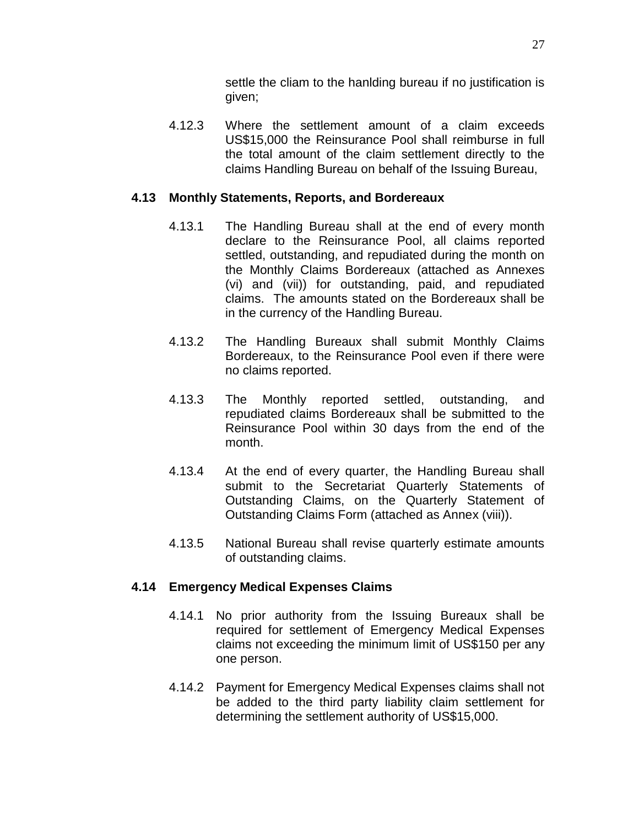settle the cliam to the hanlding bureau if no justification is given;

4.12.3 Where the settlement amount of a claim exceeds US\$15,000 the Reinsurance Pool shall reimburse in full the total amount of the claim settlement directly to the claims Handling Bureau on behalf of the Issuing Bureau,

#### **4.13 Monthly Statements, Reports, and Bordereaux**

- 4.13.1 The Handling Bureau shall at the end of every month declare to the Reinsurance Pool, all claims reported settled, outstanding, and repudiated during the month on the Monthly Claims Bordereaux (attached as Annexes (vi) and (vii)) for outstanding, paid, and repudiated claims. The amounts stated on the Bordereaux shall be in the currency of the Handling Bureau.
- 4.13.2 The Handling Bureaux shall submit Monthly Claims Bordereaux, to the Reinsurance Pool even if there were no claims reported.
- 4.13.3 The Monthly reported settled, outstanding, and repudiated claims Bordereaux shall be submitted to the Reinsurance Pool within 30 days from the end of the month.
- 4.13.4 At the end of every quarter, the Handling Bureau shall submit to the Secretariat Quarterly Statements of Outstanding Claims, on the Quarterly Statement of Outstanding Claims Form (attached as Annex (viii)).
- 4.13.5 National Bureau shall revise quarterly estimate amounts of outstanding claims.

#### **4.14 Emergency Medical Expenses Claims**

- 4.14.1 No prior authority from the Issuing Bureaux shall be required for settlement of Emergency Medical Expenses claims not exceeding the minimum limit of US\$150 per any one person.
- 4.14.2 Payment for Emergency Medical Expenses claims shall not be added to the third party liability claim settlement for determining the settlement authority of US\$15,000.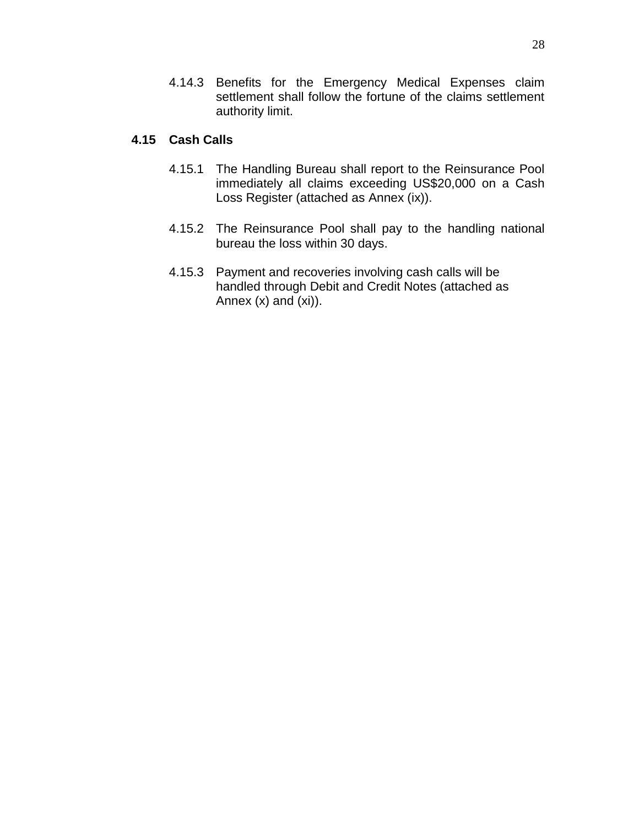4.14.3 Benefits for the Emergency Medical Expenses claim settlement shall follow the fortune of the claims settlement authority limit.

#### **4.15 Cash Calls**

- 4.15.1 The Handling Bureau shall report to the Reinsurance Pool immediately all claims exceeding US\$20,000 on a Cash Loss Register (attached as Annex (ix)).
- 4.15.2 The Reinsurance Pool shall pay to the handling national bureau the loss within 30 days.
- 4.15.3 Payment and recoveries involving cash calls will be handled through Debit and Credit Notes (attached as Annex  $(x)$  and  $(xi)$ ).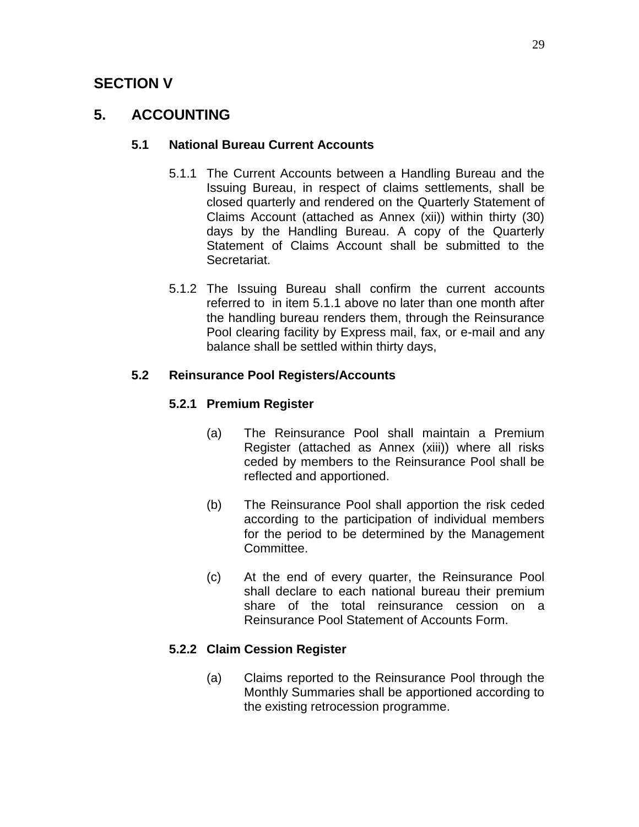# **SECTION V**

# **5. ACCOUNTING**

## **5.1 National Bureau Current Accounts**

- 5.1.1 The Current Accounts between a Handling Bureau and the Issuing Bureau, in respect of claims settlements, shall be closed quarterly and rendered on the Quarterly Statement of Claims Account (attached as Annex (xii)) within thirty (30) days by the Handling Bureau. A copy of the Quarterly Statement of Claims Account shall be submitted to the Secretariat.
- 5.1.2 The Issuing Bureau shall confirm the current accounts referred to in item 5.1.1 above no later than one month after the handling bureau renders them, through the Reinsurance Pool clearing facility by Express mail, fax, or e-mail and any balance shall be settled within thirty days,

## **5.2 Reinsurance Pool Registers/Accounts**

## **5.2.1 Premium Register**

- (a) The Reinsurance Pool shall maintain a Premium Register (attached as Annex (xiii)) where all risks ceded by members to the Reinsurance Pool shall be reflected and apportioned.
- (b) The Reinsurance Pool shall apportion the risk ceded according to the participation of individual members for the period to be determined by the Management Committee.
- (c) At the end of every quarter, the Reinsurance Pool shall declare to each national bureau their premium share of the total reinsurance cession on a Reinsurance Pool Statement of Accounts Form.

# **5.2.2 Claim Cession Register**

(a) Claims reported to the Reinsurance Pool through the Monthly Summaries shall be apportioned according to the existing retrocession programme.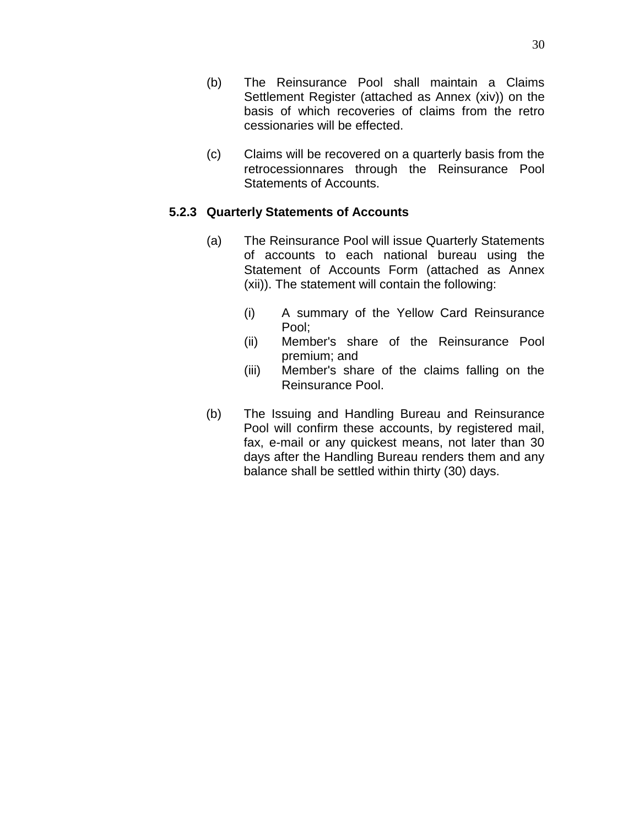- (b) The Reinsurance Pool shall maintain a Claims Settlement Register (attached as Annex (xiv)) on the basis of which recoveries of claims from the retro cessionaries will be effected.
- (c) Claims will be recovered on a quarterly basis from the retrocessionnares through the Reinsurance Pool Statements of Accounts.

#### **5.2.3 Quarterly Statements of Accounts**

- (a) The Reinsurance Pool will issue Quarterly Statements of accounts to each national bureau using the Statement of Accounts Form (attached as Annex (xii)). The statement will contain the following:
	- (i) A summary of the Yellow Card Reinsurance Pool;
	- (ii) Member's share of the Reinsurance Pool premium; and
	- (iii) Member's share of the claims falling on the Reinsurance Pool.
- (b) The Issuing and Handling Bureau and Reinsurance Pool will confirm these accounts, by registered mail, fax, e-mail or any quickest means, not later than 30 days after the Handling Bureau renders them and any balance shall be settled within thirty (30) days.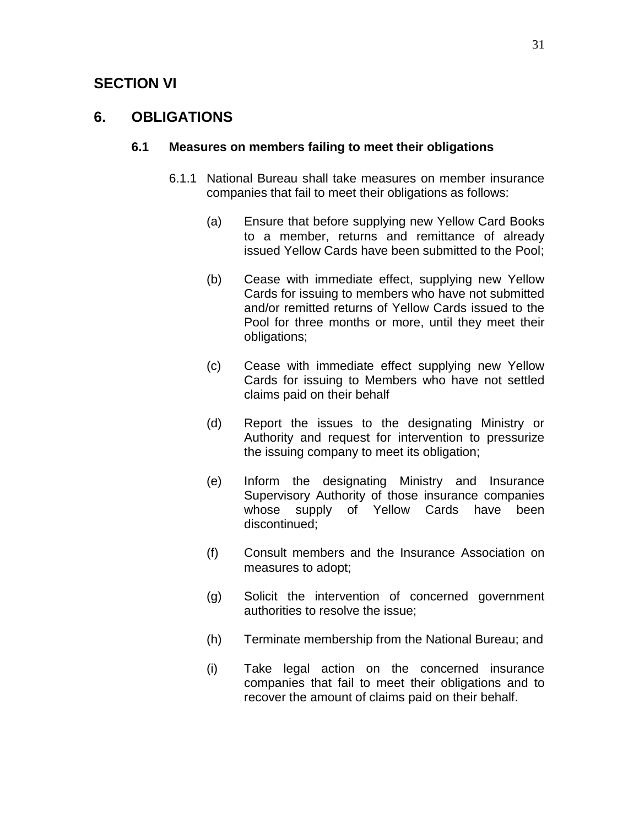# **SECTION VI**

# **6. OBLIGATIONS**

#### **6.1 Measures on members failing to meet their obligations**

- 6.1.1 National Bureau shall take measures on member insurance companies that fail to meet their obligations as follows:
	- (a) Ensure that before supplying new Yellow Card Books to a member, returns and remittance of already issued Yellow Cards have been submitted to the Pool;
	- (b) Cease with immediate effect, supplying new Yellow Cards for issuing to members who have not submitted and/or remitted returns of Yellow Cards issued to the Pool for three months or more, until they meet their obligations;
	- (c) Cease with immediate effect supplying new Yellow Cards for issuing to Members who have not settled claims paid on their behalf
	- (d) Report the issues to the designating Ministry or Authority and request for intervention to pressurize the issuing company to meet its obligation;
	- (e) Inform the designating Ministry and Insurance Supervisory Authority of those insurance companies whose supply of Yellow Cards have been discontinued;
	- (f) Consult members and the Insurance Association on measures to adopt;
	- (g) Solicit the intervention of concerned government authorities to resolve the issue;
	- (h) Terminate membership from the National Bureau; and
	- (i) Take legal action on the concerned insurance companies that fail to meet their obligations and to recover the amount of claims paid on their behalf.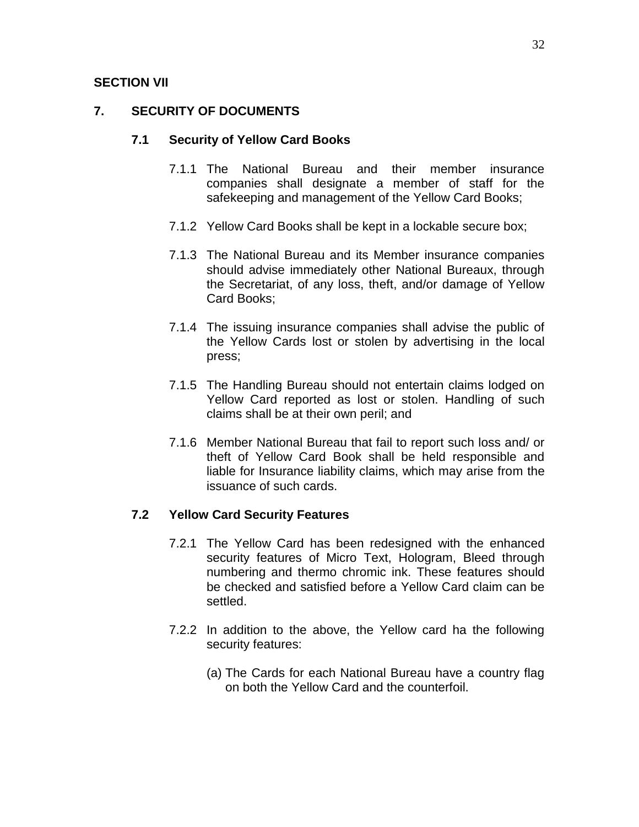#### **SECTION VII**

## **7. SECURITY OF DOCUMENTS**

#### **7.1 Security of Yellow Card Books**

- 7.1.1 The National Bureau and their member insurance companies shall designate a member of staff for the safekeeping and management of the Yellow Card Books;
- 7.1.2 Yellow Card Books shall be kept in a lockable secure box;
- 7.1.3 The National Bureau and its Member insurance companies should advise immediately other National Bureaux, through the Secretariat, of any loss, theft, and/or damage of Yellow Card Books;
- 7.1.4 The issuing insurance companies shall advise the public of the Yellow Cards lost or stolen by advertising in the local press;
- 7.1.5 The Handling Bureau should not entertain claims lodged on Yellow Card reported as lost or stolen. Handling of such claims shall be at their own peril; and
- 7.1.6 Member National Bureau that fail to report such loss and/ or theft of Yellow Card Book shall be held responsible and liable for Insurance liability claims, which may arise from the issuance of such cards.

## **7.2 Yellow Card Security Features**

- 7.2.1 The Yellow Card has been redesigned with the enhanced security features of Micro Text, Hologram, Bleed through numbering and thermo chromic ink. These features should be checked and satisfied before a Yellow Card claim can be settled.
- 7.2.2 In addition to the above, the Yellow card ha the following security features:
	- (a) The Cards for each National Bureau have a country flag on both the Yellow Card and the counterfoil.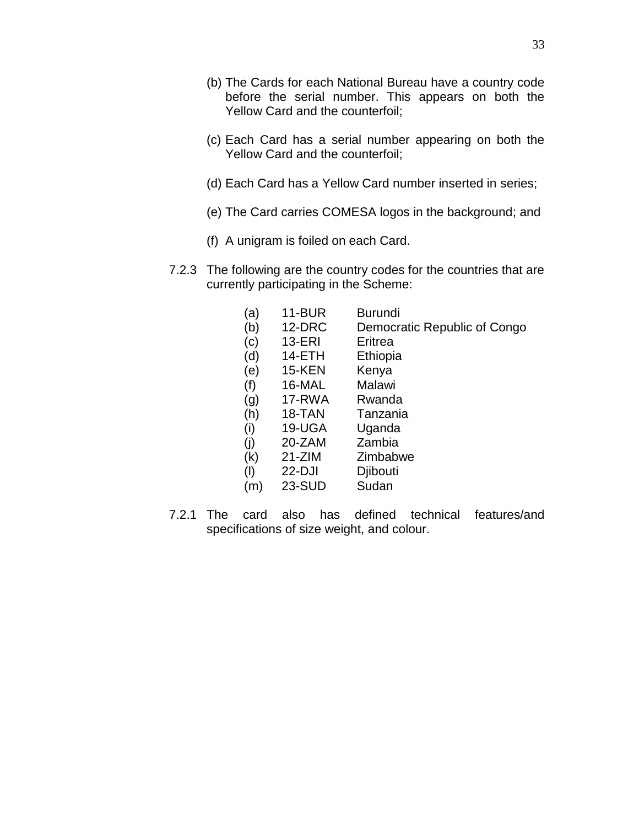- (c) Each Card has a serial number appearing on both the Yellow Card and the counterfoil;
- (d) Each Card has a Yellow Card number inserted in series;
- (e) The Card carries COMESA logos in the background; and
- (f) A unigram is foiled on each Card.
- 7.2.3 The following are the country codes for the countries that are currently participating in the Scheme:

| (a)<br>(b) | <b>11-BUR</b><br>12-DRC | <b>Burundi</b><br>Democratic Republic of Congo |
|------------|-------------------------|------------------------------------------------|
| (c)        | 13-ERI                  | Eritrea                                        |
| (d)        | 14-ETH                  | Ethiopia                                       |
| (e)        | <b>15-KEN</b>           | Kenya                                          |
| (f)        | 16-MAL                  | Malawi                                         |
| (g)        | 17-RWA                  | Rwanda                                         |
| (h)        | 18-TAN                  | Tanzania                                       |
| (i)        | 19-UGA                  | Uganda                                         |
| (i)        | 20-ZAM                  | Zambia                                         |
| (k)        | $21 - ZIM$              | Zimbabwe                                       |
| (1)        | $22-DJI$                | Djibouti                                       |
| (m)        | <b>23-SUD</b>           | Sudan                                          |

7.2.1 The card also has defined technical features/and specifications of size weight, and colour.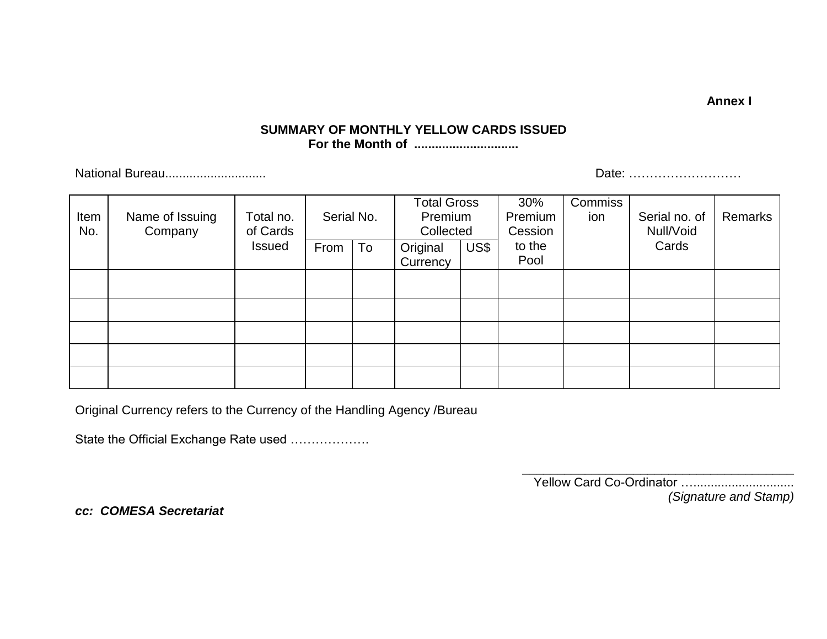**Annex I**

#### **SUMMARY OF MONTHLY YELLOW CARDS ISSUED For the Month of ..............................**

National Bureau............................. Date: ………………………

| Item<br>No. | Name of Issuing<br>Company | Total no.<br>of Cards | Serial No. |    | <b>Total Gross</b><br>Premium<br>Collected |      | 30%<br>Premium<br>Cession | Commiss<br>ion | Serial no. of<br>Null/Void | Remarks |
|-------------|----------------------------|-----------------------|------------|----|--------------------------------------------|------|---------------------------|----------------|----------------------------|---------|
|             |                            | <b>Issued</b>         | From       | To | Original<br>Currency                       | US\$ | to the<br>Pool            |                | Cards                      |         |
|             |                            |                       |            |    |                                            |      |                           |                |                            |         |
|             |                            |                       |            |    |                                            |      |                           |                |                            |         |
|             |                            |                       |            |    |                                            |      |                           |                |                            |         |
|             |                            |                       |            |    |                                            |      |                           |                |                            |         |
|             |                            |                       |            |    |                                            |      |                           |                |                            |         |

Original Currency refers to the Currency of the Handling Agency /Bureau

State the Official Exchange Rate used ……………….

\_\_\_\_\_\_\_\_\_\_\_\_\_\_\_\_\_\_\_\_\_\_\_\_\_\_\_\_\_\_\_\_\_\_\_\_\_\_\_ Yellow Card Co-Ordinator …............................. *(Signature and Stamp)*

*cc: COMESA Secretariat*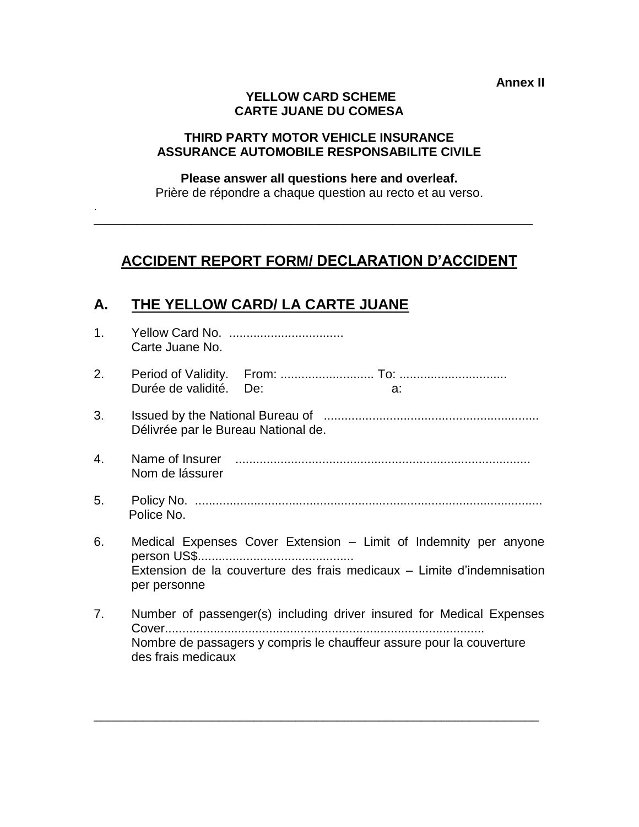**Annex II**

#### **YELLOW CARD SCHEME CARTE JUANE DU COMESA**

#### **THIRD PARTY MOTOR VEHICLE INSURANCE ASSURANCE AUTOMOBILE RESPONSABILITE CIVILE**

#### **Please answer all questions here and overleaf.**

Prière de répondre a chaque question au recto et au verso.

 $\_$  , and the set of the set of the set of the set of the set of the set of the set of the set of the set of the set of the set of the set of the set of the set of the set of the set of the set of the set of the set of th

# **ACCIDENT REPORT FORM/ DECLARATION D'ACCIDENT**

# **A. THE YELLOW CARD/ LA CARTE JUANE**

.

| 1 <sub>1</sub> | Carte Juane No.                                                                                                                                                    |
|----------------|--------------------------------------------------------------------------------------------------------------------------------------------------------------------|
| 2.             | Durée de validité. De:<br>a:                                                                                                                                       |
| 3.             | Délivrée par le Bureau National de.                                                                                                                                |
| 4.             | Nom de lássurer                                                                                                                                                    |
| 5.             | Police No.                                                                                                                                                         |
| 6.             | Medical Expenses Cover Extension - Limit of Indemnity per anyone<br>Extension de la couverture des frais medicaux - Limite d'indemnisation<br>per personne         |
| 7.             | Number of passenger(s) including driver insured for Medical Expenses<br>Nombre de passagers y compris le chauffeur assure pour la couverture<br>des frais medicaux |

\_\_\_\_\_\_\_\_\_\_\_\_\_\_\_\_\_\_\_\_\_\_\_\_\_\_\_\_\_\_\_\_\_\_\_\_\_\_\_\_\_\_\_\_\_\_\_\_\_\_\_\_\_\_\_\_\_\_\_\_\_\_\_\_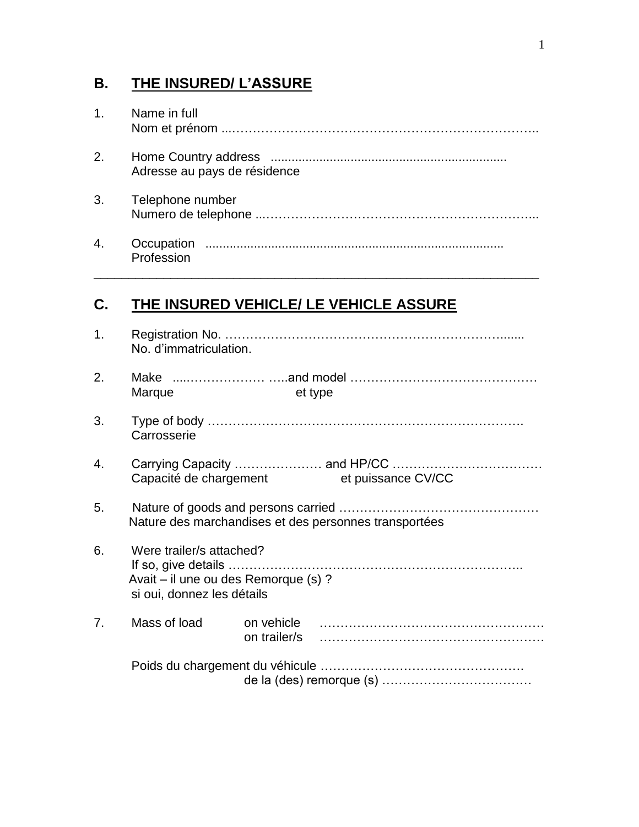# **B. THE INSURED/ L'ASSURE**

| 1. | Name in full                 |
|----|------------------------------|
| 2. | Adresse au pays de résidence |
| 3. | Telephone number             |
| 4. | Profession                   |

\_\_\_\_\_\_\_\_\_\_\_\_\_\_\_\_\_\_\_\_\_\_\_\_\_\_\_\_\_\_\_\_\_\_\_\_\_\_\_\_\_\_\_\_\_\_\_\_\_\_\_\_\_\_\_\_\_\_\_\_\_\_\_\_

# **C. THE INSURED VEHICLE/ LE VEHICLE ASSURE**

| 1. | No. d'immatriculation.                                                                         |                                                       |
|----|------------------------------------------------------------------------------------------------|-------------------------------------------------------|
| 2. | Marque                                                                                         | et type                                               |
| 3. | Carrosserie                                                                                    |                                                       |
| 4. | Capacité de chargement                                                                         | et puissance CV/CC                                    |
| 5. |                                                                                                | Nature des marchandises et des personnes transportées |
| 6. | Were trailer/s attached?<br>Avait - il une ou des Remorque (s) ?<br>si oui, donnez les détails |                                                       |
| 7. | Mass of load                                                                                   |                                                       |
|    |                                                                                                |                                                       |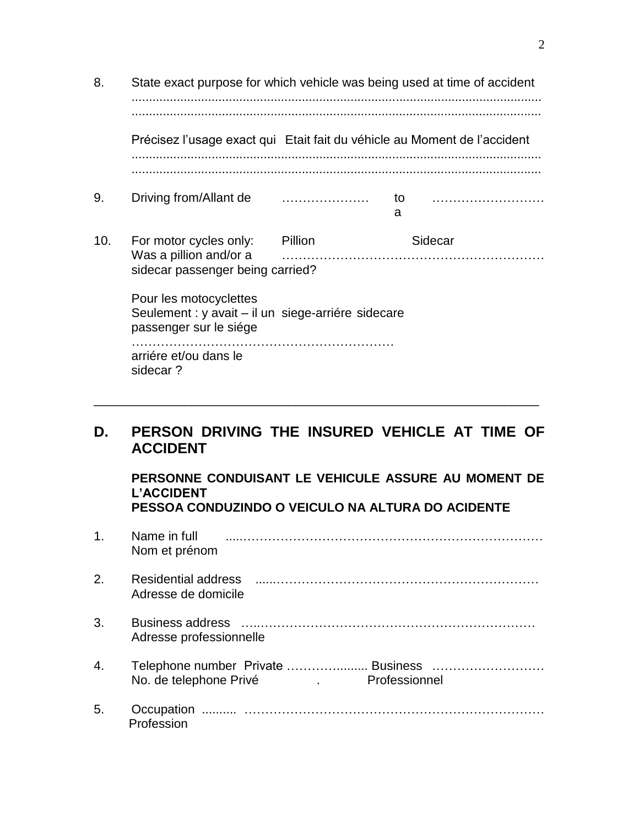| 8.  | State exact purpose for which vehicle was being used at time of accident                               |  |         |  |  |
|-----|--------------------------------------------------------------------------------------------------------|--|---------|--|--|
|     | Précisez l'usage exact qui Etait fait du véhicle au Moment de l'accident                               |  |         |  |  |
| 9.  | Driving from/Allant de                                                                                 |  | to<br>a |  |  |
| 10. | For motor cycles only: Pillion<br>Was a pillion and/or a<br>sidecar passenger being carried?           |  | Sidecar |  |  |
|     | Pour les motocyclettes<br>Seulement : y avait – il un siege-arriére sidecare<br>passenger sur le siége |  |         |  |  |
|     | arriére et/ou dans le<br>sidecar?                                                                      |  |         |  |  |

# **D. PERSON DRIVING THE INSURED VEHICLE AT TIME OF ACCIDENT**

\_\_\_\_\_\_\_\_\_\_\_\_\_\_\_\_\_\_\_\_\_\_\_\_\_\_\_\_\_\_\_\_\_\_\_\_\_\_\_\_\_\_\_\_\_\_\_\_\_\_\_\_\_\_\_\_\_\_\_\_\_\_\_\_

**PERSONNE CONDUISANT LE VEHICULE ASSURE AU MOMENT DE L'ACCIDENT PESSOA CONDUZINDO O VEICULO NA ALTURA DO ACIDENTE**

| 1 <sub>1</sub> | Name in full<br>Nom et prénom                                                                       |
|----------------|-----------------------------------------------------------------------------------------------------|
| 2.             | Residential address<br>Adresse de domicile                                                          |
| 3.             | Adresse professionnelle                                                                             |
| 4.             | Telephone number Private  Business<br>No. de telephone Privé<br>Professionnel<br>and the company of |
| 5.             | Profession                                                                                          |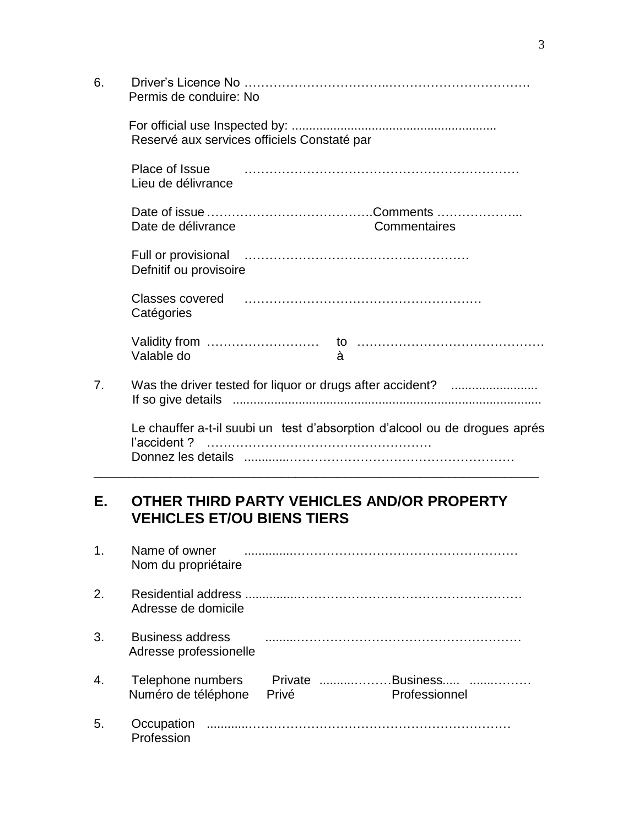| 6. | Permis de conduire: No                                                                    |
|----|-------------------------------------------------------------------------------------------|
|    | Reservé aux services officiels Constaté par                                               |
|    | Place of Issue<br>Lieu de délivrance                                                      |
|    | Date de délivrance<br>Commentaires                                                        |
|    | Defnitif ou provisoire                                                                    |
|    | Classes covered <b>contained</b> and classes covered<br>Catégories                        |
|    | Valable do<br>à                                                                           |
| 7. |                                                                                           |
|    | Le chauffer a-t-il suubi un test d'absorption d'alcool ou de drogues aprés<br>l'accident? |

# **E. OTHER THIRD PARTY VEHICLES AND/OR PROPERTY VEHICLES ET/OU BIENS TIERS**

| 1 <sub>1</sub> | Name of owner<br>Nom du propriétaire              |                  |                           |
|----------------|---------------------------------------------------|------------------|---------------------------|
| 2.             | Adresse de domicile                               |                  |                           |
| 3.             | <b>Business address</b><br>Adresse professionelle |                  |                           |
| 4.             | Telephone numbers<br>Numéro de téléphone          | Private<br>Privé | Business<br>Professionnel |
| 5.             | Occupation<br>Profession                          |                  |                           |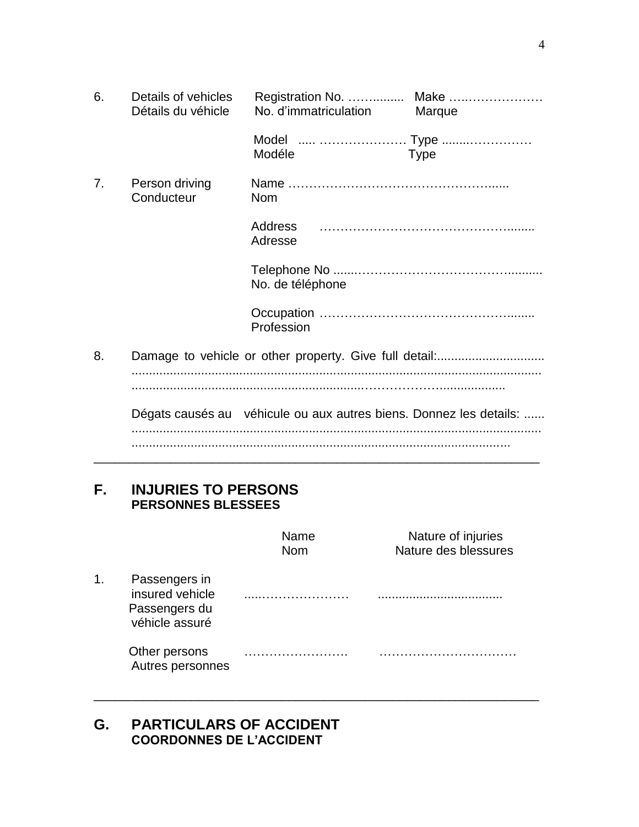| 6. | Details of vehicles<br>Détails du véhicle | No. d'immatriculation                                              | Marque      |
|----|-------------------------------------------|--------------------------------------------------------------------|-------------|
|    |                                           | Model   Type<br>Modéle                                             | <b>Type</b> |
| 7. | Person driving<br>Conducteur              | <b>Nom</b>                                                         |             |
|    |                                           | Address<br>Adresse                                                 |             |
|    |                                           | No. de téléphone                                                   |             |
|    |                                           | Profession                                                         |             |
| 8. |                                           |                                                                    |             |
|    |                                           |                                                                    |             |
|    |                                           | Dégats causés au véhicule ou aux autres biens. Donnez les details: |             |
|    |                                           |                                                                    |             |

# **F. INJURIES TO PERSONS PERSONNES BLESSEES**

|    |                                                                     | Name<br><b>Nom</b> | Nature of injuries<br>Nature des blessures |
|----|---------------------------------------------------------------------|--------------------|--------------------------------------------|
| 1. | Passengers in<br>insured vehicle<br>Passengers du<br>véhicle assuré |                    |                                            |
|    | Other persons<br>Autres personnes                                   |                    |                                            |

\_\_\_\_\_\_\_\_\_\_\_\_\_\_\_\_\_\_\_\_\_\_\_\_\_\_\_\_\_\_\_\_\_\_\_\_\_\_\_\_\_\_\_\_\_\_\_\_\_\_\_\_\_\_\_\_\_\_\_\_\_\_\_\_

# **G. PARTICULARS OF ACCIDENT COORDONNES DE L'ACCIDENT**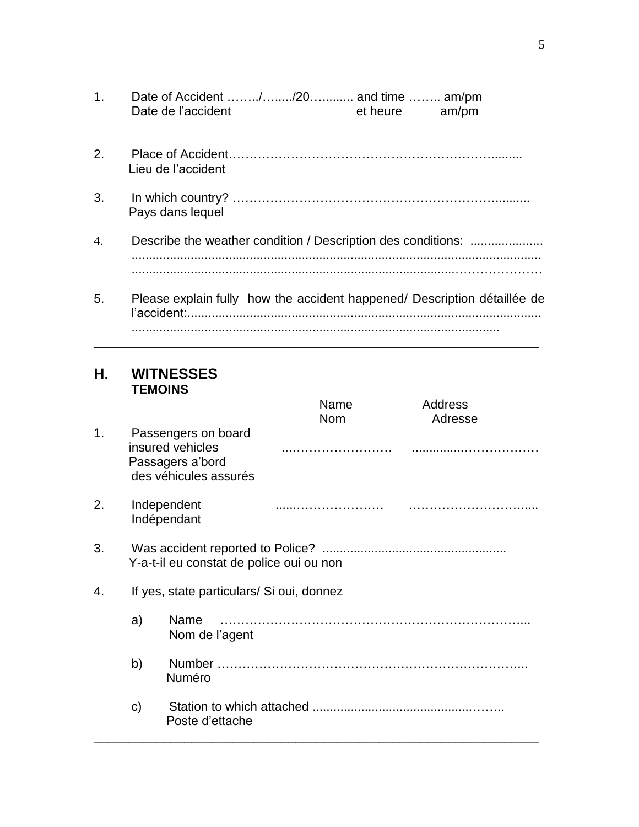| Date de l'accident | et heure | am/pm |
|--------------------|----------|-------|

- 2. Place of Accident………………………………………………………......... Lieu de l'accident
- 3. In which country? ……………………………………………………….......... Pays dans lequel
- 4. Describe the weather condition / Description des conditions: ..................... ...................................................................................................................... .............................................................................................…………………
- 5. Please explain fully how the accident happened/ Description détaillée de l'accident:...................................................................................................... ..........................................................................................................

\_\_\_\_\_\_\_\_\_\_\_\_\_\_\_\_\_\_\_\_\_\_\_\_\_\_\_\_\_\_\_\_\_\_\_\_\_\_\_\_\_\_\_\_\_\_\_\_\_\_\_\_\_\_\_\_\_\_\_\_\_\_\_\_

#### **H. WITNESSES TEMOINS**

|    |    |                                                                                      | Name<br><b>Nom</b> | <b>Address</b><br>Adresse |
|----|----|--------------------------------------------------------------------------------------|--------------------|---------------------------|
| 1. |    | Passengers on board<br>insured vehicles<br>Passagers a'bord<br>des véhicules assurés |                    |                           |
| 2. |    | Independent<br>Indépendant                                                           |                    |                           |
| 3. |    | Y-a-t-il eu constat de police oui ou non                                             |                    |                           |
| 4. |    | If yes, state particulars/ Si oui, donnez                                            |                    |                           |
|    | a) | Name<br>Nom de l'agent                                                               |                    |                           |
|    | b) | Numéro                                                                               |                    |                           |
|    | C) | Poste d'ettache                                                                      |                    |                           |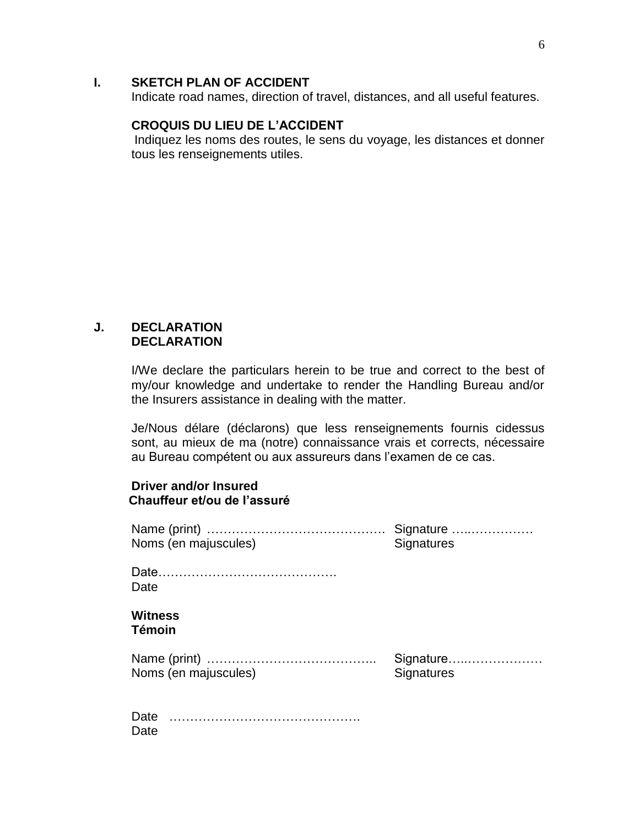#### **I. SKETCH PLAN OF ACCIDENT**

Indicate road names, direction of travel, distances, and all useful features.

#### **CROQUIS DU LIEU DE L'ACCIDENT**

 Indiquez les noms des routes, le sens du voyage, les distances et donner tous les renseignements utiles.

#### **J. DECLARATION DECLARATION**

Date

I/We declare the particulars herein to be true and correct to the best of my/our knowledge and undertake to render the Handling Bureau and/or the Insurers assistance in dealing with the matter.

Je/Nous délare (déclarons) que less renseignements fournis cidessus sont, au mieux de ma (notre) connaissance vrais et corrects, nécessaire au Bureau compétent ou aux assureurs dans l'examen de ce cas.

#### **Driver and/or Insured Chauffeur et/ou de l'assuré**

| Noms (en majuscules)            | Signature<br><b>Signatures</b> |
|---------------------------------|--------------------------------|
| Date                            |                                |
| <b>Witness</b><br><b>Témoin</b> |                                |
| Noms (en majuscules)            | Signature<br><b>Signatures</b> |
| Date                            |                                |

6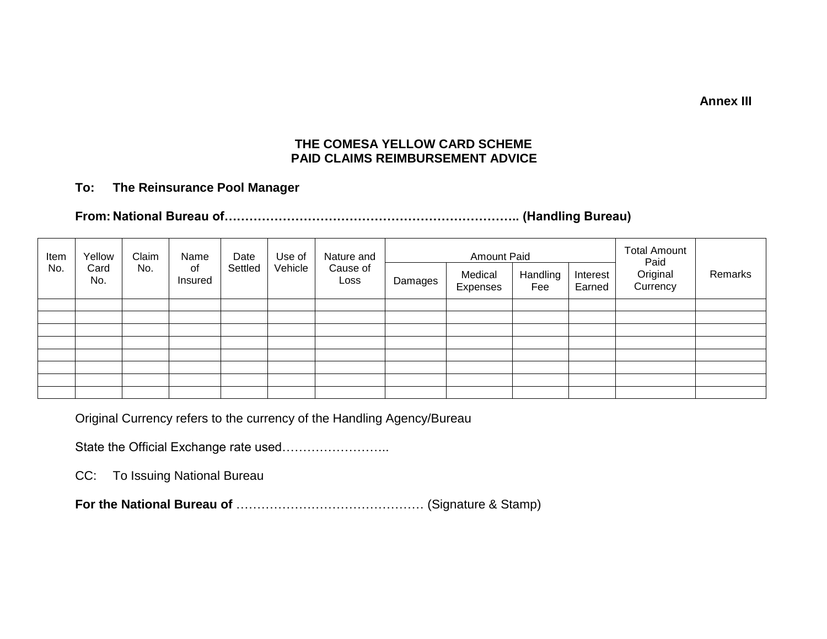**Annex III**

#### **THE COMESA YELLOW CARD SCHEME PAID CLAIMS REIMBURSEMENT ADVICE**

#### **To: The Reinsurance Pool Manager**

# **From: National Bureau of…………………………………………………………….. (Handling Bureau)**

| Item | Yellow      | Claim | Name          | Date    | Use of  | Nature and       | <b>Amount Paid</b> |                     |                 |                    | <b>Total Amount</b><br>Paid |         |
|------|-------------|-------|---------------|---------|---------|------------------|--------------------|---------------------|-----------------|--------------------|-----------------------------|---------|
| No.  | Card<br>No. | No.   | of<br>Insured | Settled | Vehicle | Cause of<br>Loss | Damages            | Medical<br>Expenses | Handling<br>Fee | Interest<br>Earned | Original<br>Currency        | Remarks |
|      |             |       |               |         |         |                  |                    |                     |                 |                    |                             |         |
|      |             |       |               |         |         |                  |                    |                     |                 |                    |                             |         |
|      |             |       |               |         |         |                  |                    |                     |                 |                    |                             |         |
|      |             |       |               |         |         |                  |                    |                     |                 |                    |                             |         |
|      |             |       |               |         |         |                  |                    |                     |                 |                    |                             |         |
|      |             |       |               |         |         |                  |                    |                     |                 |                    |                             |         |
|      |             |       |               |         |         |                  |                    |                     |                 |                    |                             |         |
|      |             |       |               |         |         |                  |                    |                     |                 |                    |                             |         |

Original Currency refers to the currency of the Handling Agency/Bureau

State the Official Exchange rate used……………………..

CC: To Issuing National Bureau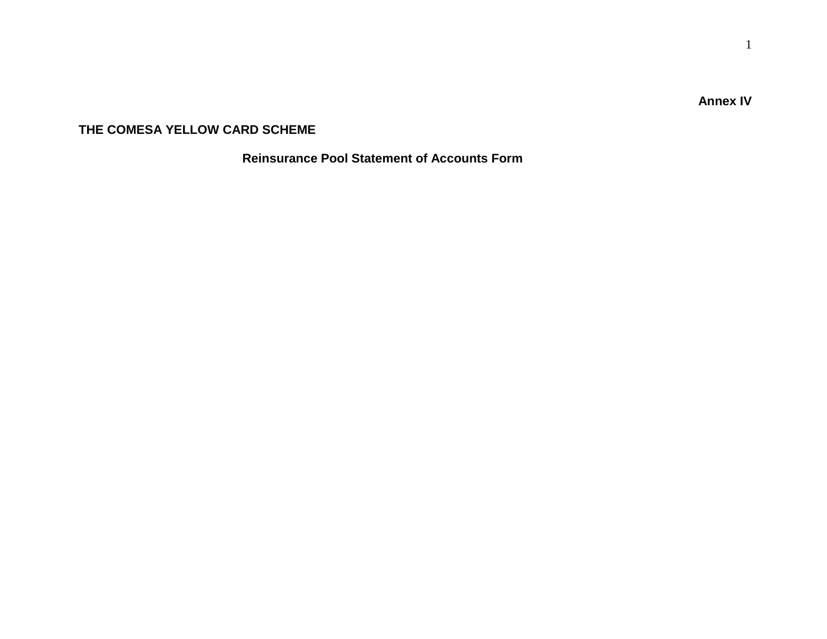**Annex IV**

#### **THE COMESA YELLOW CARD SCHEME**

 **Reinsurance Pool Statement of Accounts Form**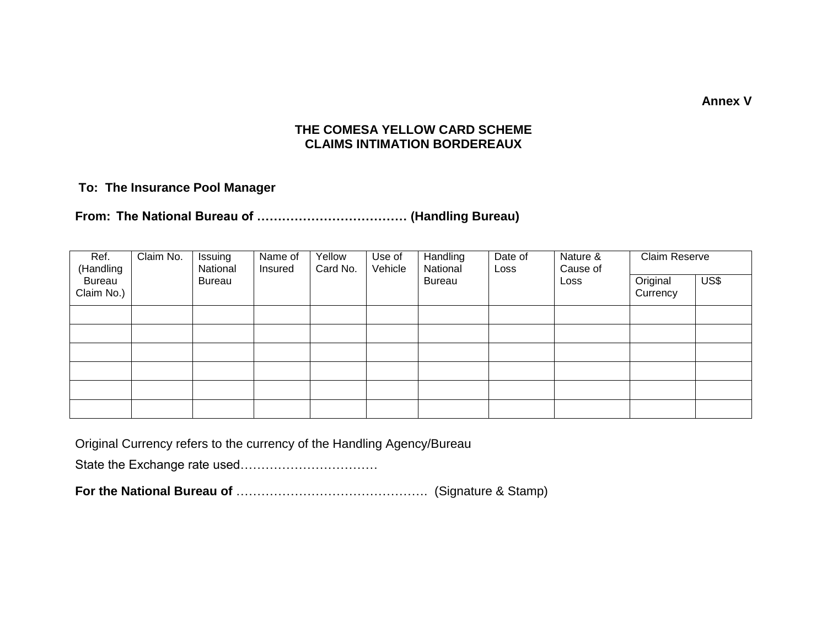**Annex V**

#### **THE COMESA YELLOW CARD SCHEME CLAIMS INTIMATION BORDEREAUX**

#### **To: The Insurance Pool Manager**

#### **From: The National Bureau of ……………………………… (Handling Bureau)**

| Ref.<br>(Handling           | Claim No. | Issuing<br>National | Name of<br>Insured | Yellow<br>Card No. | Use of<br>Vehicle | Handling<br>National | Date of<br>Loss | Nature &<br>Cause of | Claim Reserve        |      |
|-----------------------------|-----------|---------------------|--------------------|--------------------|-------------------|----------------------|-----------------|----------------------|----------------------|------|
| <b>Bureau</b><br>Claim No.) |           | <b>Bureau</b>       |                    |                    |                   | <b>Bureau</b>        |                 | Loss                 | Original<br>Currency | US\$ |
|                             |           |                     |                    |                    |                   |                      |                 |                      |                      |      |
|                             |           |                     |                    |                    |                   |                      |                 |                      |                      |      |
|                             |           |                     |                    |                    |                   |                      |                 |                      |                      |      |
|                             |           |                     |                    |                    |                   |                      |                 |                      |                      |      |
|                             |           |                     |                    |                    |                   |                      |                 |                      |                      |      |
|                             |           |                     |                    |                    |                   |                      |                 |                      |                      |      |

Original Currency refers to the currency of the Handling Agency/Bureau

State the Exchange rate used……………………………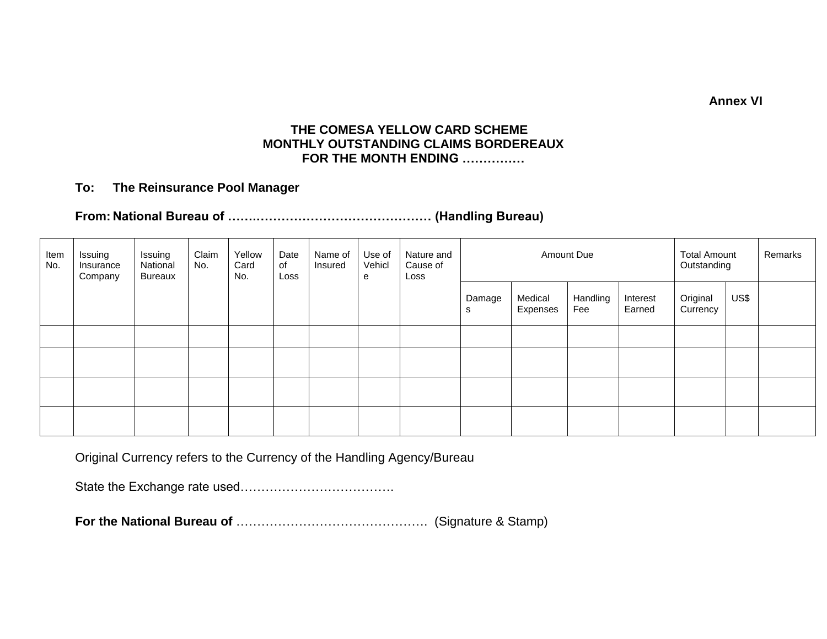**Annex VI**

#### **THE COMESA YELLOW CARD SCHEME MONTHLY OUTSTANDING CLAIMS BORDEREAUX FOR THE MONTH ENDING ……………**

#### **To: The Reinsurance Pool Manager**

## **From: National Bureau of …….…………………………………… (Handling Bureau)**

| Item<br>No. | Issuing<br>Insurance<br>Company | Issuing<br>National<br><b>Bureaux</b> | Claim<br>No. | Yellow<br>Card<br>No. | Date<br>of<br>Loss | Name of<br>Insured | Use of<br>Vehicl<br>e | Nature and<br>Cause of<br>Loss |             |                     | <b>Total Amount</b><br>Outstanding | Remarks            |                      |      |  |
|-------------|---------------------------------|---------------------------------------|--------------|-----------------------|--------------------|--------------------|-----------------------|--------------------------------|-------------|---------------------|------------------------------------|--------------------|----------------------|------|--|
|             |                                 |                                       |              |                       |                    |                    |                       |                                | Damage<br>s | Medical<br>Expenses | Handling<br>Fee                    | Interest<br>Earned | Original<br>Currency | US\$ |  |
|             |                                 |                                       |              |                       |                    |                    |                       |                                |             |                     |                                    |                    |                      |      |  |
|             |                                 |                                       |              |                       |                    |                    |                       |                                |             |                     |                                    |                    |                      |      |  |
|             |                                 |                                       |              |                       |                    |                    |                       |                                |             |                     |                                    |                    |                      |      |  |
|             |                                 |                                       |              |                       |                    |                    |                       |                                |             |                     |                                    |                    |                      |      |  |

Original Currency refers to the Currency of the Handling Agency/Bureau

State the Exchange rate used……………………………….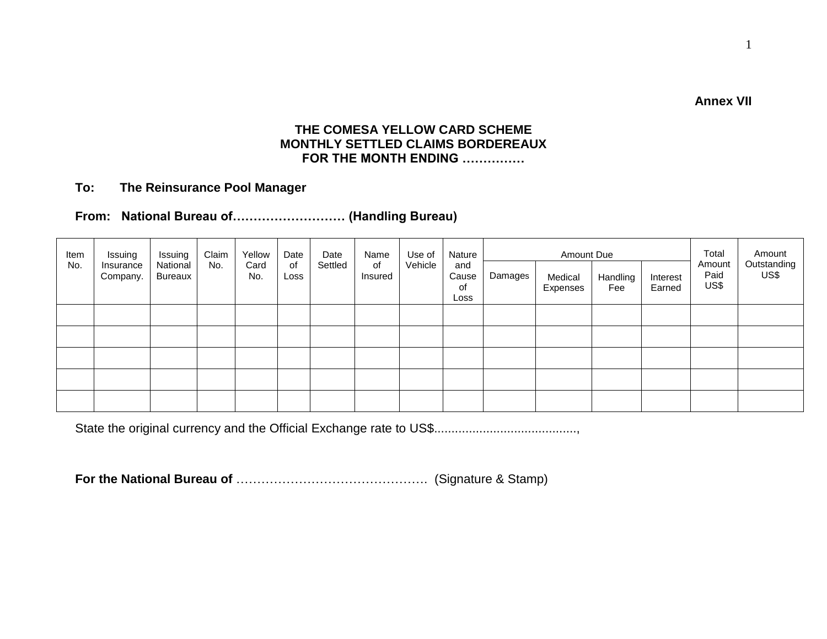**Annex VII**

#### **THE COMESA YELLOW CARD SCHEME MONTHLY SETTLED CLAIMS BORDEREAUX FOR THE MONTH ENDING ……………**

#### **To: The Reinsurance Pool Manager**

#### **From: National Bureau of……………………… (Handling Bureau)**

| Item | Issuing               | Issuing             | Claim | Yellow      | Date       | Date    | Name          | Use of  | Nature                     | Amount Due |                     |                 |                    | Total                  | Amount              |
|------|-----------------------|---------------------|-------|-------------|------------|---------|---------------|---------|----------------------------|------------|---------------------|-----------------|--------------------|------------------------|---------------------|
| No.  | Insurance<br>Company. | National<br>Bureaux | No.   | Card<br>No. | of<br>Loss | Settled | of<br>Insured | Vehicle | and<br>Cause<br>of<br>Loss | Damages    | Medical<br>Expenses | Handling<br>Fee | Interest<br>Earned | Amount<br>Paid<br>US\$ | Outstanding<br>US\$ |
|      |                       |                     |       |             |            |         |               |         |                            |            |                     |                 |                    |                        |                     |
|      |                       |                     |       |             |            |         |               |         |                            |            |                     |                 |                    |                        |                     |
|      |                       |                     |       |             |            |         |               |         |                            |            |                     |                 |                    |                        |                     |
|      |                       |                     |       |             |            |         |               |         |                            |            |                     |                 |                    |                        |                     |
|      |                       |                     |       |             |            |         |               |         |                            |            |                     |                 |                    |                        |                     |

State the original currency and the Official Exchange rate to US\$.........................................,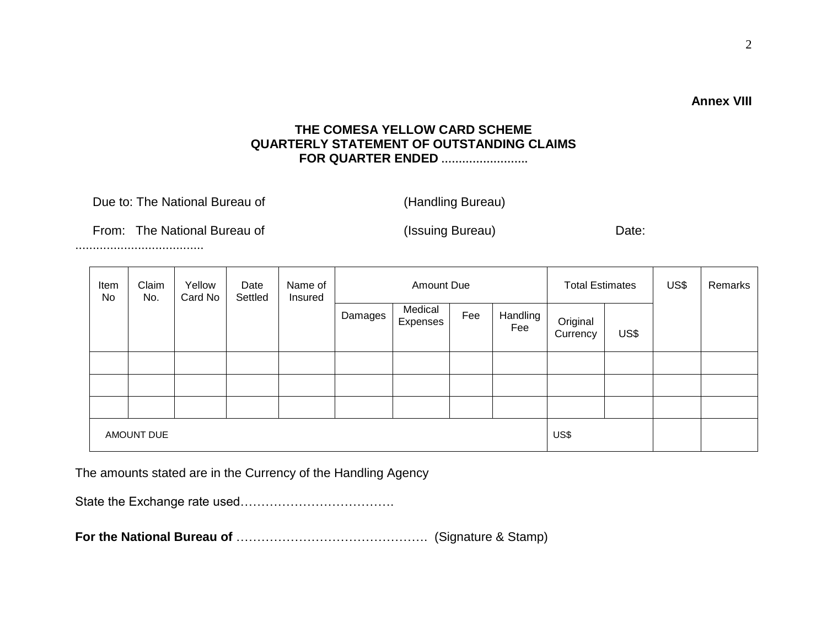## **THE COMESA YELLOW CARD SCHEME QUARTERLY STATEMENT OF OUTSTANDING CLAIMS FOR QUARTER ENDED …………………….**

| Due to: The National Bureau of |  |
|--------------------------------|--|
|--------------------------------|--|

(Handling Bureau)

From: The National Bureau of (Issuing Bureau) Date:

.....................................

| Item<br>No | Claim<br>No.      | Yellow<br>Card No | Date<br>Settled | Name of<br>Insured |         | Amount Due          |     |                 | <b>Total Estimates</b> |      | US\$ | Remarks |
|------------|-------------------|-------------------|-----------------|--------------------|---------|---------------------|-----|-----------------|------------------------|------|------|---------|
|            |                   |                   |                 |                    | Damages | Medical<br>Expenses | Fee | Handling<br>Fee | Original<br>Currency   | US\$ |      |         |
|            |                   |                   |                 |                    |         |                     |     |                 |                        |      |      |         |
|            |                   |                   |                 |                    |         |                     |     |                 |                        |      |      |         |
|            |                   |                   |                 |                    |         |                     |     |                 |                        |      |      |         |
|            | <b>AMOUNT DUE</b> |                   |                 |                    |         |                     |     |                 | US\$                   |      |      |         |

The amounts stated are in the Currency of the Handling Agency

State the Exchange rate used……………………………….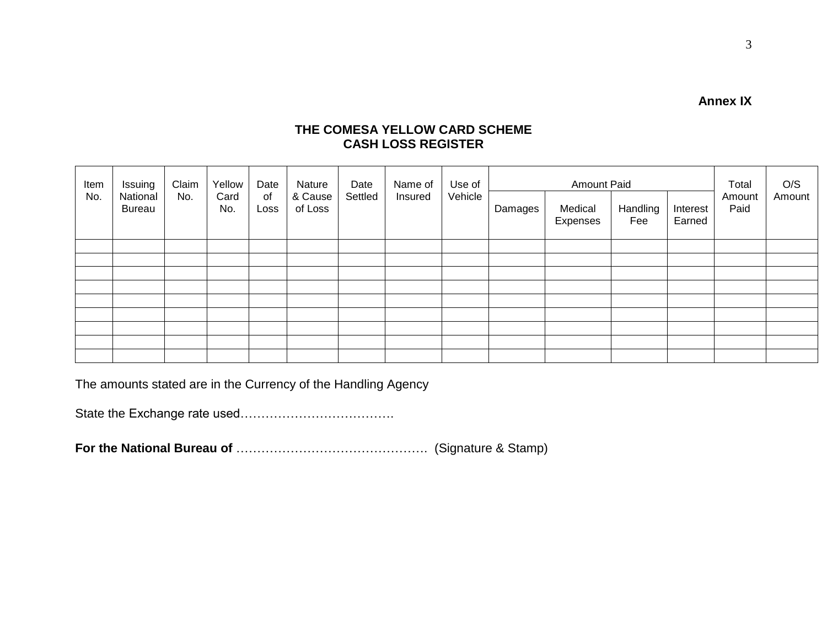**Annex IX**

#### **THE COMESA YELLOW CARD SCHEME CASH LOSS REGISTER**

| Item | Issuing                   | Claim | Yellow      | Date       | Nature             | Date    | Name of | Use of  |         | <b>Amount Paid</b>  |                 | Total              | O/S            |        |
|------|---------------------------|-------|-------------|------------|--------------------|---------|---------|---------|---------|---------------------|-----------------|--------------------|----------------|--------|
| No.  | National<br><b>Bureau</b> | No.   | Card<br>No. | of<br>Loss | & Cause<br>of Loss | Settled | Insured | Vehicle | Damages | Medical<br>Expenses | Handling<br>Fee | Interest<br>Earned | Amount<br>Paid | Amount |
|      |                           |       |             |            |                    |         |         |         |         |                     |                 |                    |                |        |
|      |                           |       |             |            |                    |         |         |         |         |                     |                 |                    |                |        |
|      |                           |       |             |            |                    |         |         |         |         |                     |                 |                    |                |        |
|      |                           |       |             |            |                    |         |         |         |         |                     |                 |                    |                |        |
|      |                           |       |             |            |                    |         |         |         |         |                     |                 |                    |                |        |
|      |                           |       |             |            |                    |         |         |         |         |                     |                 |                    |                |        |
|      |                           |       |             |            |                    |         |         |         |         |                     |                 |                    |                |        |
|      |                           |       |             |            |                    |         |         |         |         |                     |                 |                    |                |        |
|      |                           |       |             |            |                    |         |         |         |         |                     |                 |                    |                |        |

The amounts stated are in the Currency of the Handling Agency

State the Exchange rate used……………………………….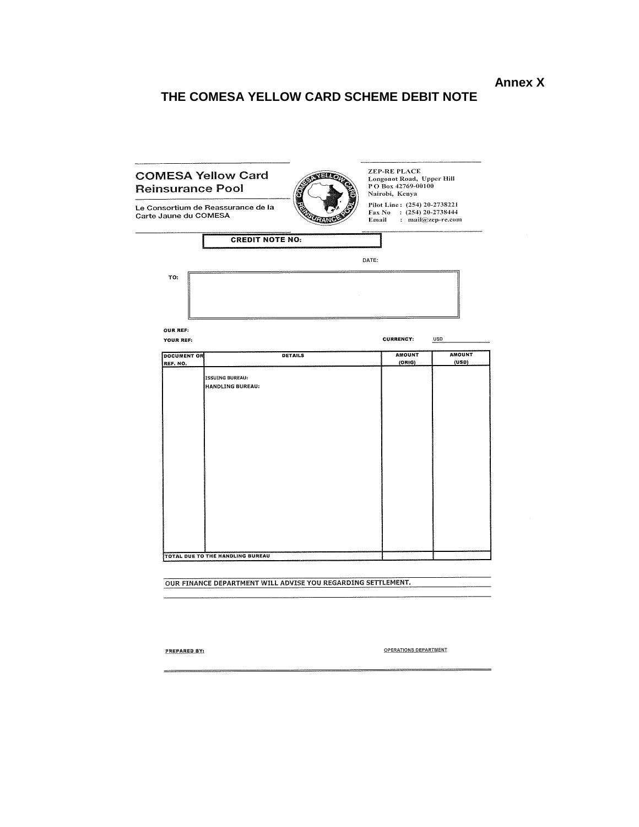**Annex X**

# **THE COMESA YELLOW CARD SCHEME DEBIT NOTE**

|                                | <b>Reinsurance Pool</b>            | PO Box 42769-00100<br>Nairobi, Kenya                                                               |                 |
|--------------------------------|------------------------------------|----------------------------------------------------------------------------------------------------|-----------------|
| Carte Jaune du COMESA          | Le Consortium de Reassurance de la | Pilot Line: (254) 20-2738221<br>Fax No : $(254)$ 20-2738444<br><b>Email</b><br>: $mail@zep-re.com$ |                 |
|                                | <b>CREDIT NOTE NO:</b>             |                                                                                                    |                 |
|                                |                                    | DATE:                                                                                              |                 |
| TO:                            |                                    |                                                                                                    |                 |
| <b>OUR REF:</b>                |                                    |                                                                                                    |                 |
| YOUR REF:                      |                                    | <b>CURRENCY:</b>                                                                                   | <b>USD</b>      |
| <b>DOCUMENT OR</b><br>REF. NO. | <b>DETAILS</b>                     | <b>AMOUNT</b><br>(ORIG)                                                                            | AMOUNT<br>(USD) |
|                                | <b>HANDLING BUREAU:</b>            |                                                                                                    |                 |
|                                |                                    |                                                                                                    |                 |

**PREPARED BY:** 

 $\equiv$ 

OPERATIONS DEPARTMENT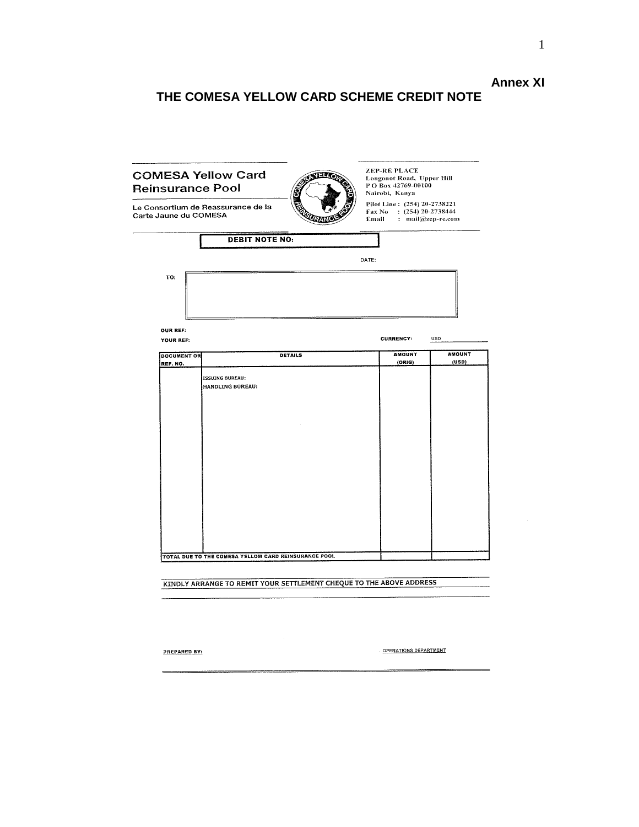# **Annex XI**

# **THE COMESA YELLOW CARD SCHEME CREDIT NOTE**

| <b>Reinsurance Pool</b>        | <b>COMESA Yellow Card</b><br>31 J                                   | <b>ZEP-RE PLACE</b><br>Longonot Road, Upper Hill<br>PO Box 42769-00100<br>Nairobi, Kenya      |                        |
|--------------------------------|---------------------------------------------------------------------|-----------------------------------------------------------------------------------------------|------------------------|
| Carte Jaune du COMESA          | Le Consortium de Reassurance de la                                  | Pilot Line: (254) 20-2738221<br>$\text{Fax No}$ : (254) 20-2738444<br>Email : mail@zep-re.com |                        |
|                                | <b>DEBIT NOTE NO:</b>                                               |                                                                                               |                        |
|                                |                                                                     | DATE:                                                                                         |                        |
| TO:                            |                                                                     |                                                                                               |                        |
| OUR REF:<br>YOUR REF:          |                                                                     | <b>CURRENCY:</b>                                                                              | <b>USD</b>             |
| <b>DOCUMENT OR</b><br>REF. NO. | <b>DETAILS</b>                                                      | <b>AMOUNT</b><br>(ORIG)                                                                       | <b>AMOUNT</b><br>(USD) |
|                                | <b>ISSUING BUREAU:</b><br><b>HANDLING BUREAU:</b>                   |                                                                                               |                        |
|                                | TOTAL DUE TO THE COMESA YELLOW CARD REINSURANCE POOL                |                                                                                               |                        |
|                                | KINDLY ARRANGE TO REMIT YOUR SETTLEMENT CHEQUE TO THE ABOVE ADDRESS |                                                                                               |                        |

PREPARED BY:

OPERATIONS DEPARTMENT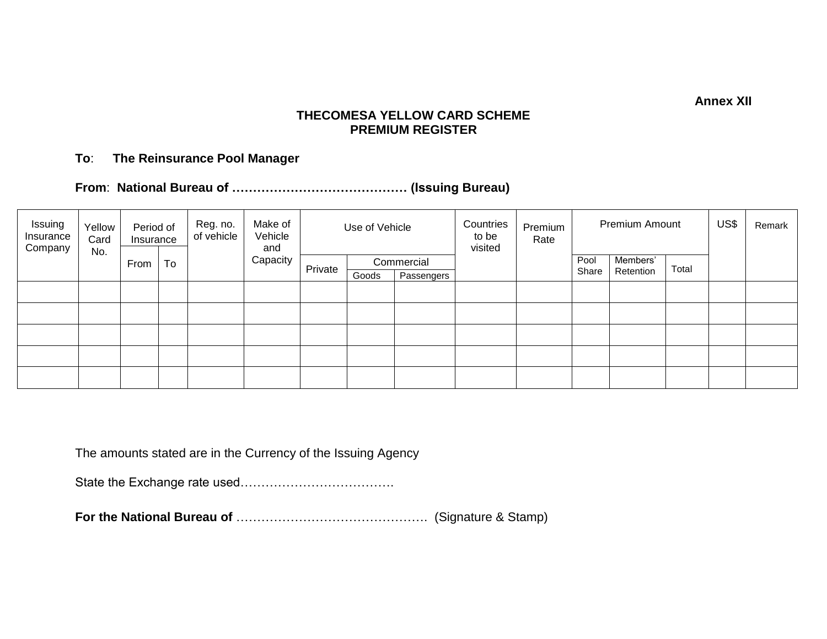**Annex XII**

#### **THECOMESA YELLOW CARD SCHEME PREMIUM REGISTER**

#### **To**: **The Reinsurance Pool Manager**

**From**: **National Bureau of …………………………………… (Issuing Bureau)**

| Issuing<br>Insurance<br>Company | Yellow<br>Card<br>No. | Period of<br>Insurance |    | Reg. no.<br>of vehicle | Make of<br>Vehicle<br>and | Use of Vehicle |       | Countries<br>to be<br>visited | Premium<br>Rate | Premium Amount |       |           | US\$  | Remark |  |
|---------------------------------|-----------------------|------------------------|----|------------------------|---------------------------|----------------|-------|-------------------------------|-----------------|----------------|-------|-----------|-------|--------|--|
|                                 |                       | From                   | To |                        | Capacity                  | Private        |       | Commercial                    |                 |                | Pool  | Members'  | Total |        |  |
|                                 |                       |                        |    |                        |                           |                | Goods | Passengers                    |                 |                | Share | Retention |       |        |  |
|                                 |                       |                        |    |                        |                           |                |       |                               |                 |                |       |           |       |        |  |
|                                 |                       |                        |    |                        |                           |                |       |                               |                 |                |       |           |       |        |  |
|                                 |                       |                        |    |                        |                           |                |       |                               |                 |                |       |           |       |        |  |
|                                 |                       |                        |    |                        |                           |                |       |                               |                 |                |       |           |       |        |  |
|                                 |                       |                        |    |                        |                           |                |       |                               |                 |                |       |           |       |        |  |

The amounts stated are in the Currency of the Issuing Agency

State the Exchange rate used……………………………….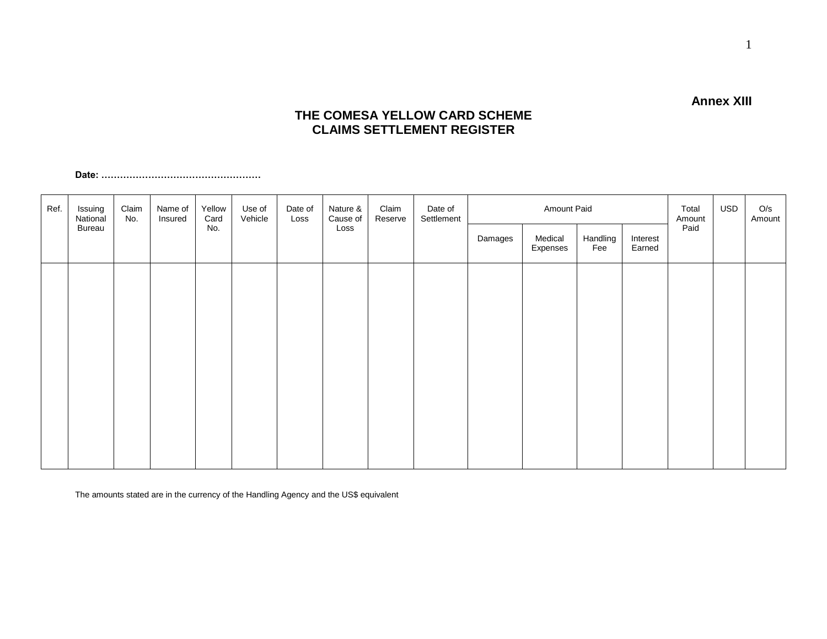#### **THE COMESA YELLOW CARD SCHEME CLAIMS SETTLEMENT REGISTER**

**Date: ……………………………………………**

| Ref. | Issuing<br>National<br>Bureau | Claim<br>No. | Name of<br>Insured | Yellow<br>Card<br>No. | Use of<br>Vehicle | Date of<br>Loss | Nature &<br>Cause of<br>Loss | Claim<br>Reserve | Date of<br>Settlement | Amount Paid |                     |                 |                    | Total<br>Amount | <b>USD</b> | O/s<br>Amount |
|------|-------------------------------|--------------|--------------------|-----------------------|-------------------|-----------------|------------------------------|------------------|-----------------------|-------------|---------------------|-----------------|--------------------|-----------------|------------|---------------|
|      |                               |              |                    |                       |                   |                 |                              |                  |                       | Damages     | Medical<br>Expenses | Handling<br>Fee | Interest<br>Earned | Paid            |            |               |
|      |                               |              |                    |                       |                   |                 |                              |                  |                       |             |                     |                 |                    |                 |            |               |
|      |                               |              |                    |                       |                   |                 |                              |                  |                       |             |                     |                 |                    |                 |            |               |
|      |                               |              |                    |                       |                   |                 |                              |                  |                       |             |                     |                 |                    |                 |            |               |
|      |                               |              |                    |                       |                   |                 |                              |                  |                       |             |                     |                 |                    |                 |            |               |
|      |                               |              |                    |                       |                   |                 |                              |                  |                       |             |                     |                 |                    |                 |            |               |
|      |                               |              |                    |                       |                   |                 |                              |                  |                       |             |                     |                 |                    |                 |            |               |

The amounts stated are in the currency of the Handling Agency and the US\$ equivalent